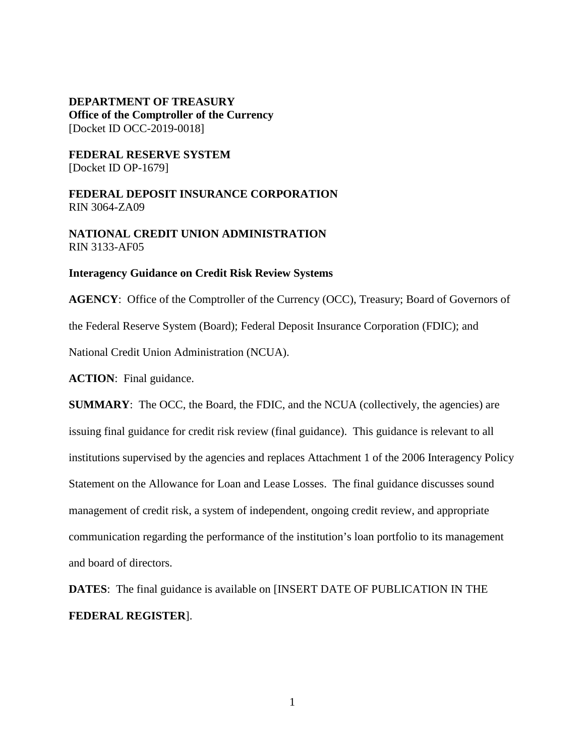**DEPARTMENT OF TREASURY Office of the Comptroller of the Currency** [Docket ID OCC-2019-0018]

**FEDERAL RESERVE SYSTEM** [Docket ID OP-1679]

**FEDERAL DEPOSIT INSURANCE CORPORATION** RIN 3064-ZA09

**NATIONAL CREDIT UNION ADMINISTRATION** RIN 3133-AF05

#### **Interagency Guidance on Credit Risk Review Systems**

**AGENCY**: Office of the Comptroller of the Currency (OCC), Treasury; Board of Governors of the Federal Reserve System (Board); Federal Deposit Insurance Corporation (FDIC); and National Credit Union Administration (NCUA). **ACTION**: Final guidance.

**SUMMARY:** The OCC, the Board, the FDIC, and the NCUA (collectively, the agencies) are issuing final guidance for credit risk review (final guidance). This guidance is relevant to all institutions supervised by the agencies and replaces Attachment 1 of the 2006 Interagency Policy Statement on the Allowance for Loan and Lease Losses. The final guidance discusses sound management of credit risk, a system of independent, ongoing credit review, and appropriate communication regarding the performance of the institution's loan portfolio to its management and board of directors.

**DATES**: The final guidance is available on [INSERT DATE OF PUBLICATION IN THE **FEDERAL REGISTER**].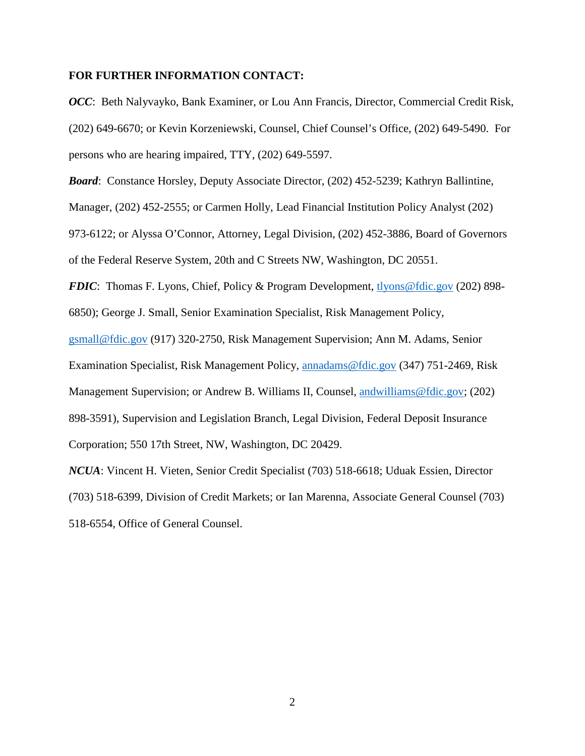#### **FOR FURTHER INFORMATION CONTACT:**

*OCC*: Beth Nalyvayko, Bank Examiner, or Lou Ann Francis, Director, Commercial Credit Risk, (202) 649-6670; or Kevin Korzeniewski, Counsel, Chief Counsel's Office, (202) 649-5490. For persons who are hearing impaired, TTY, (202) 649-5597.

*Board*: Constance Horsley, Deputy Associate Director, (202) 452-5239; Kathryn Ballintine,

Manager, (202) 452-2555; or Carmen Holly, Lead Financial Institution Policy Analyst (202)

973-6122; or Alyssa O'Connor, Attorney, Legal Division, (202) 452-3886, Board of Governors of the Federal Reserve System, 20th and C Streets NW, Washington, DC 20551.

*FDIC*: Thomas F. Lyons, Chief, Policy & Program Development, [tlyons@fdic.gov](mailto:tlyons@fdic.gov) (202) 898-

6850); George J. Small, Senior Examination Specialist, Risk Management Policy,

[gsmall@fdic.gov](mailto:gsmall@fdic.gov) (917) 320-2750, Risk Management Supervision; Ann M. Adams, Senior Examination Specialist, Risk Management Policy, [annadams@fdic.gov](mailto:annadams@fdic.gov) (347) 751-2469, Risk Management Supervision; or Andrew B. Williams II, Counsel, [andwilliams@fdic.gov;](mailto:andwilliams@fdic.gov) (202) 898-3591), Supervision and Legislation Branch, Legal Division, Federal Deposit Insurance Corporation; 550 17th Street, NW, Washington, DC 20429.

*NCUA*: Vincent H. Vieten, Senior Credit Specialist (703) 518-6618; Uduak Essien, Director (703) 518-6399, Division of Credit Markets; or Ian Marenna, Associate General Counsel (703) 518-6554, Office of General Counsel.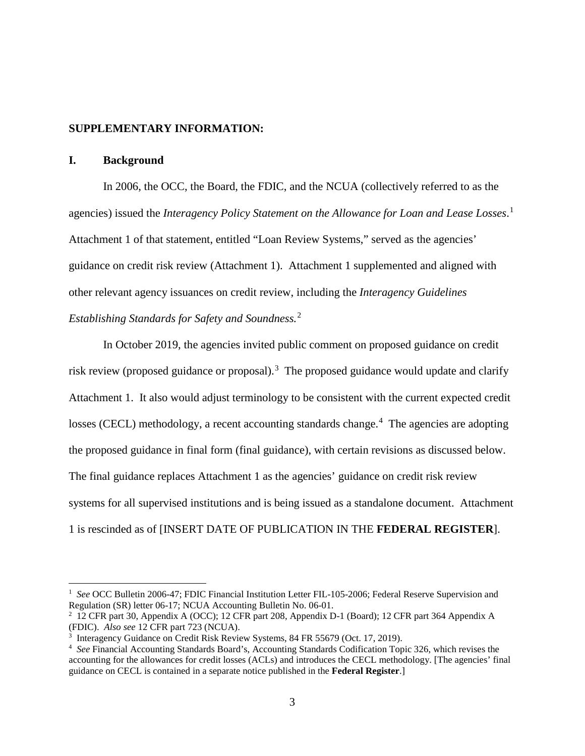# **SUPPLEMENTARY INFORMATION:**

# **I. Background**

In 2006, the OCC, the Board, the FDIC, and the NCUA (collectively referred to as the agencies) issued the *Interagency Policy Statement on the Allowance for Loan and Lease Losses*. [1](#page-2-0) Attachment 1 of that statement, entitled "Loan Review Systems," served as the agencies' guidance on credit risk review (Attachment 1). Attachment 1 supplemented and aligned with other relevant agency issuances on credit review, including the *Interagency Guidelines Establishing Standards for Safety and Soundness.*[2](#page-2-1)

In October 2019, the agencies invited public comment on proposed guidance on credit risk review (proposed guidance or proposal).<sup>[3](#page-2-2)</sup> The proposed guidance would update and clarify Attachment 1. It also would adjust terminology to be consistent with the current expected credit losses (CECL) methodology, a recent accounting standards change.<sup>[4](#page-2-3)</sup> The agencies are adopting the proposed guidance in final form (final guidance), with certain revisions as discussed below. The final guidance replaces Attachment 1 as the agencies' guidance on credit risk review systems for all supervised institutions and is being issued as a standalone document. Attachment 1 is rescinded as of [INSERT DATE OF PUBLICATION IN THE **FEDERAL REGISTER**].

<span id="page-2-0"></span> $\frac{1}{1}$ <sup>1</sup> See OCC Bulletin 2006-47; FDIC Financial Institution Letter FIL-105-2006; Federal Reserve Supervision and Regulation (SR) letter 06-17; NCUA Accounting Bulletin No. 06-01.

<span id="page-2-1"></span><sup>2</sup> 12 CFR part 30, Appendix A (OCC); 12 CFR part 208, Appendix D-1 (Board); 12 CFR part 364 Appendix A (FDIC). *Also see* 12 CFR part 723 (NCUA).

<span id="page-2-2"></span><sup>&</sup>lt;sup>3</sup> Interagency Guidance on Credit Risk Review Systems, 84 FR 55679 (Oct. 17, 2019).

<span id="page-2-3"></span><sup>4</sup> *See* Financial Accounting Standards Board's, Accounting Standards Codification Topic 326, which revises the accounting for the allowances for credit losses (ACLs) and introduces the CECL methodology. [The agencies' final guidance on CECL is contained in a separate notice published in the **Federal Register**.]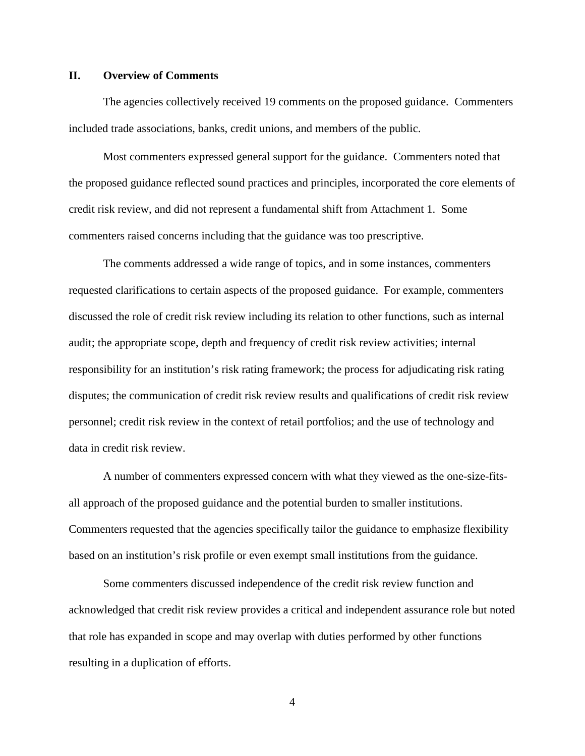## **II. Overview of Comments**

The agencies collectively received 19 comments on the proposed guidance. Commenters included trade associations, banks, credit unions, and members of the public.

Most commenters expressed general support for the guidance. Commenters noted that the proposed guidance reflected sound practices and principles, incorporated the core elements of credit risk review, and did not represent a fundamental shift from Attachment 1. Some commenters raised concerns including that the guidance was too prescriptive.

The comments addressed a wide range of topics, and in some instances, commenters requested clarifications to certain aspects of the proposed guidance. For example, commenters discussed the role of credit risk review including its relation to other functions, such as internal audit; the appropriate scope, depth and frequency of credit risk review activities; internal responsibility for an institution's risk rating framework; the process for adjudicating risk rating disputes; the communication of credit risk review results and qualifications of credit risk review personnel; credit risk review in the context of retail portfolios; and the use of technology and data in credit risk review.

A number of commenters expressed concern with what they viewed as the one-size-fitsall approach of the proposed guidance and the potential burden to smaller institutions. Commenters requested that the agencies specifically tailor the guidance to emphasize flexibility based on an institution's risk profile or even exempt small institutions from the guidance.

Some commenters discussed independence of the credit risk review function and acknowledged that credit risk review provides a critical and independent assurance role but noted that role has expanded in scope and may overlap with duties performed by other functions resulting in a duplication of efforts.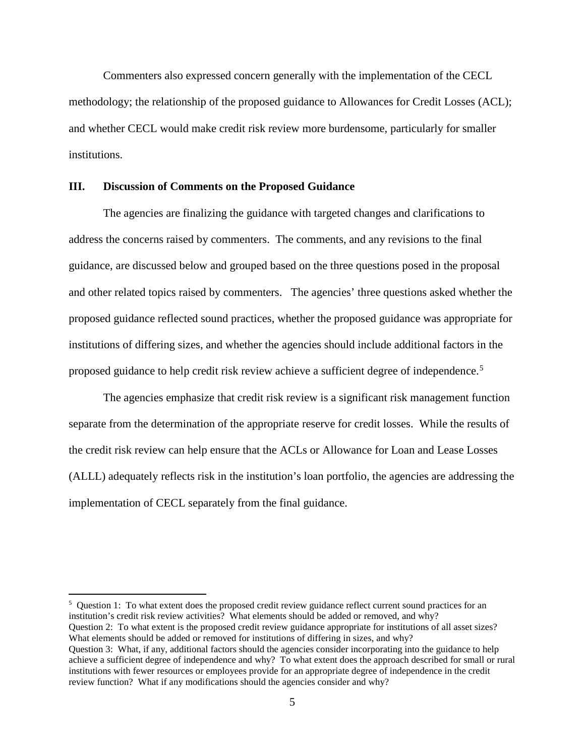Commenters also expressed concern generally with the implementation of the CECL methodology; the relationship of the proposed guidance to Allowances for Credit Losses (ACL); and whether CECL would make credit risk review more burdensome, particularly for smaller institutions.

#### **III. Discussion of Comments on the Proposed Guidance**

The agencies are finalizing the guidance with targeted changes and clarifications to address the concerns raised by commenters. The comments, and any revisions to the final guidance, are discussed below and grouped based on the three questions posed in the proposal and other related topics raised by commenters. The agencies' three questions asked whether the proposed guidance reflected sound practices, whether the proposed guidance was appropriate for institutions of differing sizes, and whether the agencies should include additional factors in the proposed guidance to help credit risk review achieve a sufficient degree of independence.[5](#page-4-0)

The agencies emphasize that credit risk review is a significant risk management function separate from the determination of the appropriate reserve for credit losses. While the results of the credit risk review can help ensure that the ACLs or Allowance for Loan and Lease Losses (ALLL) adequately reflects risk in the institution's loan portfolio, the agencies are addressing the implementation of CECL separately from the final guidance.

<span id="page-4-0"></span> $\frac{1}{5}$  $5$  Question 1: To what extent does the proposed credit review guidance reflect current sound practices for an institution's credit risk review activities? What elements should be added or removed, and why? Question 2: To what extent is the proposed credit review guidance appropriate for institutions of all asset sizes? What elements should be added or removed for institutions of differing in sizes, and why?

Question 3: What, if any, additional factors should the agencies consider incorporating into the guidance to help achieve a sufficient degree of independence and why? To what extent does the approach described for small or rural institutions with fewer resources or employees provide for an appropriate degree of independence in the credit review function? What if any modifications should the agencies consider and why?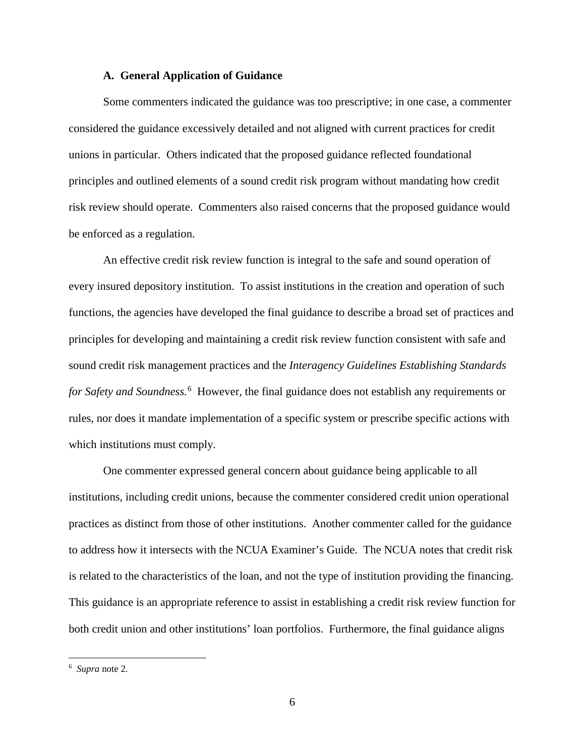#### **A. General Application of Guidance**

Some commenters indicated the guidance was too prescriptive; in one case, a commenter considered the guidance excessively detailed and not aligned with current practices for credit unions in particular. Others indicated that the proposed guidance reflected foundational principles and outlined elements of a sound credit risk program without mandating how credit risk review should operate. Commenters also raised concerns that the proposed guidance would be enforced as a regulation.

An effective credit risk review function is integral to the safe and sound operation of every insured depository institution. To assist institutions in the creation and operation of such functions, the agencies have developed the final guidance to describe a broad set of practices and principles for developing and maintaining a credit risk review function consistent with safe and sound credit risk management practices and the *Interagency Guidelines Establishing Standards for Safety and Soundness.*[6](#page-5-0) However, the final guidance does not establish any requirements or rules, nor does it mandate implementation of a specific system or prescribe specific actions with which institutions must comply.

One commenter expressed general concern about guidance being applicable to all institutions, including credit unions, because the commenter considered credit union operational practices as distinct from those of other institutions. Another commenter called for the guidance to address how it intersects with the NCUA Examiner's Guide. The NCUA notes that credit risk is related to the characteristics of the loan, and not the type of institution providing the financing. This guidance is an appropriate reference to assist in establishing a credit risk review function for both credit union and other institutions' loan portfolios. Furthermore, the final guidance aligns

<span id="page-5-0"></span> $\frac{1}{6}$ *Supra* note 2.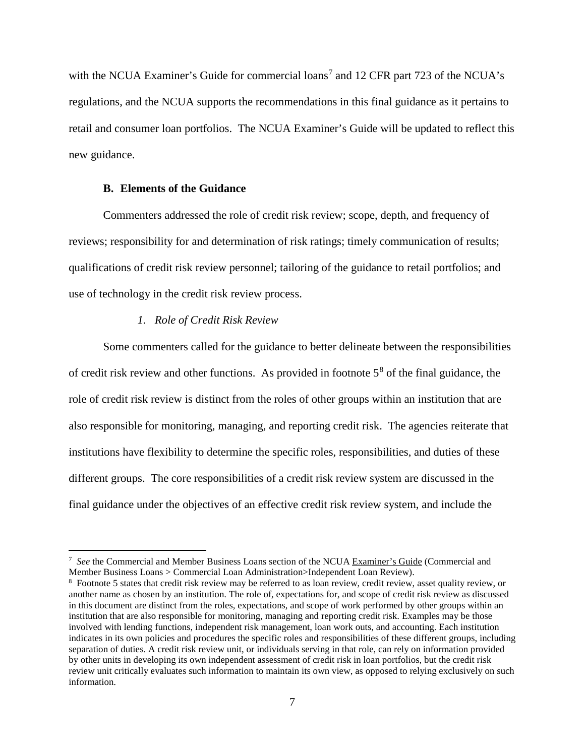with the NCUA Examiner's Guide for commercial loans<sup>[7](#page-6-0)</sup> and 12 CFR part 723 of the NCUA's regulations, and the NCUA supports the recommendations in this final guidance as it pertains to retail and consumer loan portfolios. The NCUA Examiner's Guide will be updated to reflect this new guidance.

# **B. Elements of the Guidance**

Commenters addressed the role of credit risk review; scope, depth, and frequency of reviews; responsibility for and determination of risk ratings; timely communication of results; qualifications of credit risk review personnel; tailoring of the guidance to retail portfolios; and use of technology in the credit risk review process.

## *1. Role of Credit Risk Review*

Some commenters called for the guidance to better delineate between the responsibilities of credit risk review and other functions. As provided in footnote  $5<sup>8</sup>$  $5<sup>8</sup>$  $5<sup>8</sup>$  of the final guidance, the role of credit risk review is distinct from the roles of other groups within an institution that are also responsible for monitoring, managing, and reporting credit risk. The agencies reiterate that institutions have flexibility to determine the specific roles, responsibilities, and duties of these different groups. The core responsibilities of a credit risk review system are discussed in the final guidance under the objectives of an effective credit risk review system, and include the

<span id="page-6-0"></span><sup>-&</sup>lt;br>7 *See* the Commercial and Member Business Loans section of the NCUA Examiner's Guide (Commercial and Member Business Loans > Commercial Loan Administration>Independent Loan Review).

<span id="page-6-1"></span><sup>&</sup>lt;sup>8</sup> Footnote 5 states that credit risk review may be referred to as loan review, credit review, asset quality review, or another name as chosen by an institution. The role of, expectations for, and scope of credit risk review as discussed in this document are distinct from the roles, expectations, and scope of work performed by other groups within an institution that are also responsible for monitoring, managing and reporting credit risk. Examples may be those involved with lending functions, independent risk management, loan work outs, and accounting. Each institution indicates in its own policies and procedures the specific roles and responsibilities of these different groups, including separation of duties. A credit risk review unit, or individuals serving in that role, can rely on information provided by other units in developing its own independent assessment of credit risk in loan portfolios, but the credit risk review unit critically evaluates such information to maintain its own view, as opposed to relying exclusively on such information.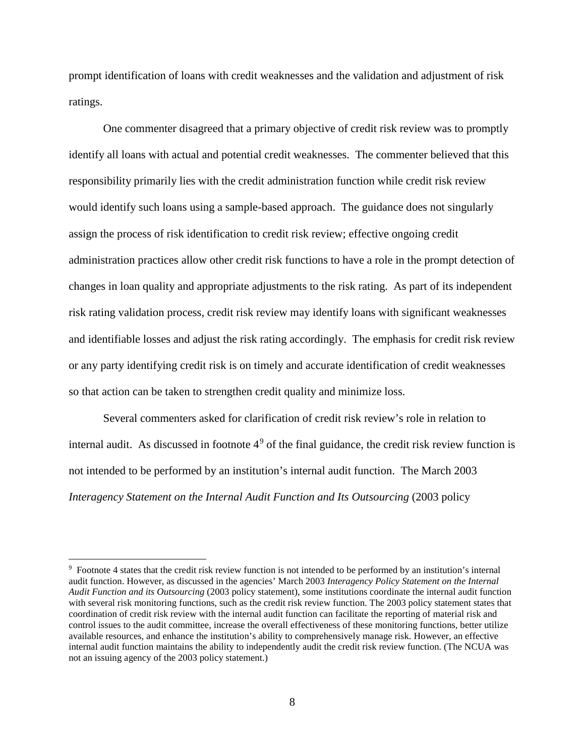prompt identification of loans with credit weaknesses and the validation and adjustment of risk ratings.

One commenter disagreed that a primary objective of credit risk review was to promptly identify all loans with actual and potential credit weaknesses. The commenter believed that this responsibility primarily lies with the credit administration function while credit risk review would identify such loans using a sample-based approach. The guidance does not singularly assign the process of risk identification to credit risk review; effective ongoing credit administration practices allow other credit risk functions to have a role in the prompt detection of changes in loan quality and appropriate adjustments to the risk rating. As part of its independent risk rating validation process, credit risk review may identify loans with significant weaknesses and identifiable losses and adjust the risk rating accordingly. The emphasis for credit risk review or any party identifying credit risk is on timely and accurate identification of credit weaknesses so that action can be taken to strengthen credit quality and minimize loss.

Several commenters asked for clarification of credit risk review's role in relation to internal audit. As discussed in footnote  $4<sup>9</sup>$  $4<sup>9</sup>$  $4<sup>9</sup>$  of the final guidance, the credit risk review function is not intended to be performed by an institution's internal audit function. The March 2003 *Interagency Statement on the Internal Audit Function and Its Outsourcing* (2003 policy

<span id="page-7-0"></span><sup>&</sup>lt;sup>9</sup> Footnote 4 states that the credit risk review function is not intended to be performed by an institution's internal audit function. However, as discussed in the agencies' March 2003 *Interagency Policy Statement on the Internal Audit Function and its Outsourcing* (2003 policy statement), some institutions coordinate the internal audit function with several risk monitoring functions, such as the credit risk review function. The 2003 policy statement states that coordination of credit risk review with the internal audit function can facilitate the reporting of material risk and control issues to the audit committee, increase the overall effectiveness of these monitoring functions, better utilize available resources, and enhance the institution's ability to comprehensively manage risk. However, an effective internal audit function maintains the ability to independently audit the credit risk review function. (The NCUA was not an issuing agency of the 2003 policy statement.)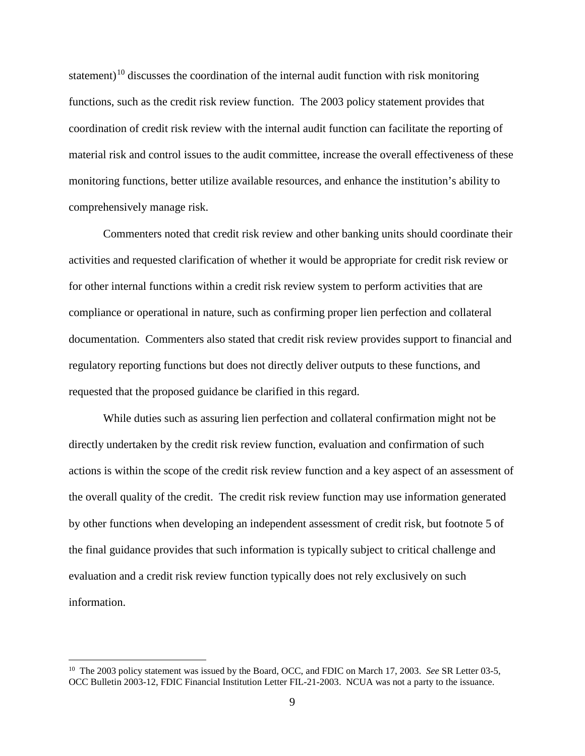statement)<sup>[10](#page-8-0)</sup> discusses the coordination of the internal audit function with risk monitoring functions, such as the credit risk review function. The 2003 policy statement provides that coordination of credit risk review with the internal audit function can facilitate the reporting of material risk and control issues to the audit committee, increase the overall effectiveness of these monitoring functions, better utilize available resources, and enhance the institution's ability to comprehensively manage risk.

Commenters noted that credit risk review and other banking units should coordinate their activities and requested clarification of whether it would be appropriate for credit risk review or for other internal functions within a credit risk review system to perform activities that are compliance or operational in nature, such as confirming proper lien perfection and collateral documentation. Commenters also stated that credit risk review provides support to financial and regulatory reporting functions but does not directly deliver outputs to these functions, and requested that the proposed guidance be clarified in this regard.

While duties such as assuring lien perfection and collateral confirmation might not be directly undertaken by the credit risk review function, evaluation and confirmation of such actions is within the scope of the credit risk review function and a key aspect of an assessment of the overall quality of the credit. The credit risk review function may use information generated by other functions when developing an independent assessment of credit risk, but footnote 5 of the final guidance provides that such information is typically subject to critical challenge and evaluation and a credit risk review function typically does not rely exclusively on such information.

<span id="page-8-0"></span><sup>&</sup>lt;sup>10</sup> The 2003 policy statement was issued by the Board, OCC, and FDIC on March 17, 2003. *See* SR Letter 03-5, OCC Bulletin 2003-12, FDIC Financial Institution Letter FIL-21-2003. NCUA was not a party to the issuance.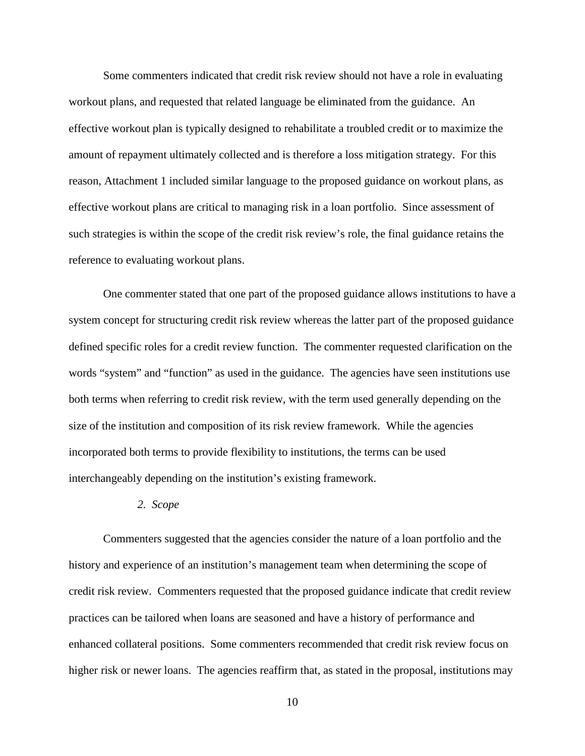Some commenters indicated that credit risk review should not have a role in evaluating workout plans, and requested that related language be eliminated from the guidance. An effective workout plan is typically designed to rehabilitate a troubled credit or to maximize the amount of repayment ultimately collected and is therefore a loss mitigation strategy. For this reason, Attachment 1 included similar language to the proposed guidance on workout plans, as effective workout plans are critical to managing risk in a loan portfolio. Since assessment of such strategies is within the scope of the credit risk review's role, the final guidance retains the reference to evaluating workout plans.

One commenter stated that one part of the proposed guidance allows institutions to have a system concept for structuring credit risk review whereas the latter part of the proposed guidance defined specific roles for a credit review function. The commenter requested clarification on the words "system" and "function" as used in the guidance. The agencies have seen institutions use both terms when referring to credit risk review, with the term used generally depending on the size of the institution and composition of its risk review framework. While the agencies incorporated both terms to provide flexibility to institutions, the terms can be used interchangeably depending on the institution's existing framework.

*2. Scope*

Commenters suggested that the agencies consider the nature of a loan portfolio and the history and experience of an institution's management team when determining the scope of credit risk review. Commenters requested that the proposed guidance indicate that credit review practices can be tailored when loans are seasoned and have a history of performance and enhanced collateral positions. Some commenters recommended that credit risk review focus on higher risk or newer loans. The agencies reaffirm that, as stated in the proposal, institutions may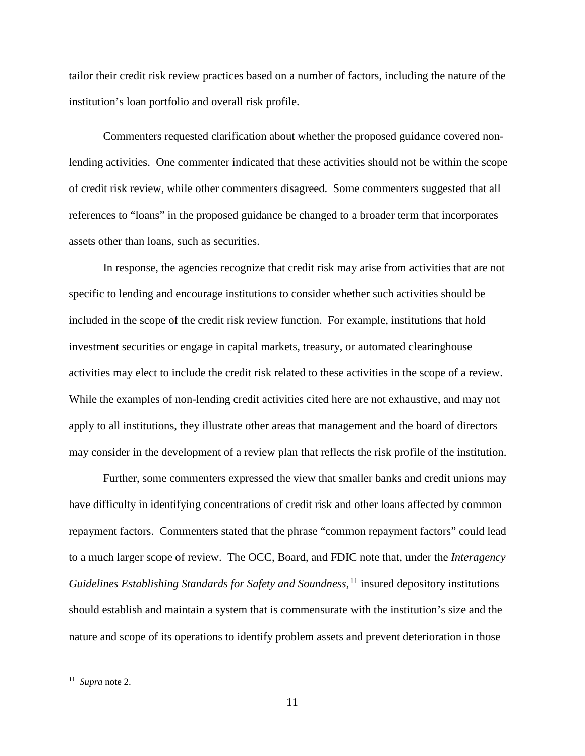tailor their credit risk review practices based on a number of factors, including the nature of the institution's loan portfolio and overall risk profile.

Commenters requested clarification about whether the proposed guidance covered nonlending activities. One commenter indicated that these activities should not be within the scope of credit risk review, while other commenters disagreed. Some commenters suggested that all references to "loans" in the proposed guidance be changed to a broader term that incorporates assets other than loans, such as securities.

In response, the agencies recognize that credit risk may arise from activities that are not specific to lending and encourage institutions to consider whether such activities should be included in the scope of the credit risk review function. For example, institutions that hold investment securities or engage in capital markets, treasury, or automated clearinghouse activities may elect to include the credit risk related to these activities in the scope of a review. While the examples of non-lending credit activities cited here are not exhaustive, and may not apply to all institutions, they illustrate other areas that management and the board of directors may consider in the development of a review plan that reflects the risk profile of the institution.

Further, some commenters expressed the view that smaller banks and credit unions may have difficulty in identifying concentrations of credit risk and other loans affected by common repayment factors. Commenters stated that the phrase "common repayment factors" could lead to a much larger scope of review. The OCC, Board, and FDIC note that, under the *Interagency Guidelines Establishing Standards for Safety and Soundness*, [11](#page-10-0) insured depository institutions should establish and maintain a system that is commensurate with the institution's size and the nature and scope of its operations to identify problem assets and prevent deterioration in those

<span id="page-10-0"></span> <sup>11</sup> *Supra* note 2.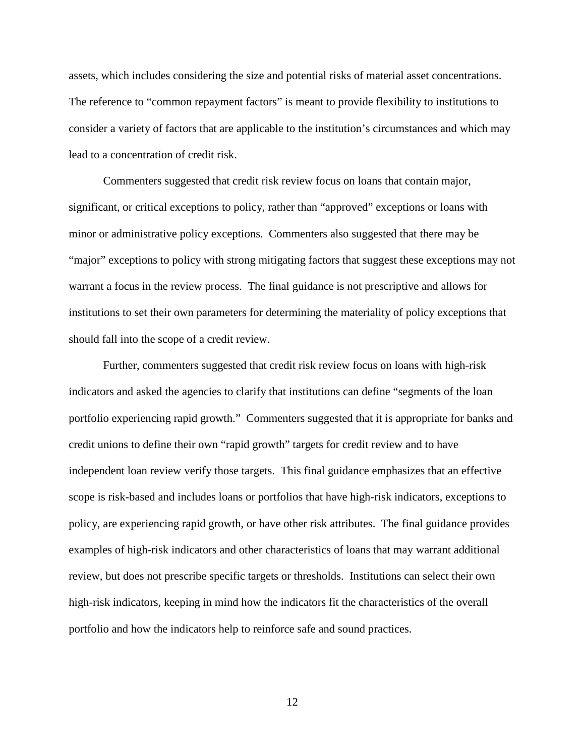assets, which includes considering the size and potential risks of material asset concentrations. The reference to "common repayment factors" is meant to provide flexibility to institutions to consider a variety of factors that are applicable to the institution's circumstances and which may lead to a concentration of credit risk.

Commenters suggested that credit risk review focus on loans that contain major, significant, or critical exceptions to policy, rather than "approved" exceptions or loans with minor or administrative policy exceptions. Commenters also suggested that there may be "major" exceptions to policy with strong mitigating factors that suggest these exceptions may not warrant a focus in the review process. The final guidance is not prescriptive and allows for institutions to set their own parameters for determining the materiality of policy exceptions that should fall into the scope of a credit review.

Further, commenters suggested that credit risk review focus on loans with high-risk indicators and asked the agencies to clarify that institutions can define "segments of the loan portfolio experiencing rapid growth." Commenters suggested that it is appropriate for banks and credit unions to define their own "rapid growth" targets for credit review and to have independent loan review verify those targets. This final guidance emphasizes that an effective scope is risk-based and includes loans or portfolios that have high-risk indicators, exceptions to policy, are experiencing rapid growth, or have other risk attributes. The final guidance provides examples of high-risk indicators and other characteristics of loans that may warrant additional review, but does not prescribe specific targets or thresholds. Institutions can select their own high-risk indicators, keeping in mind how the indicators fit the characteristics of the overall portfolio and how the indicators help to reinforce safe and sound practices.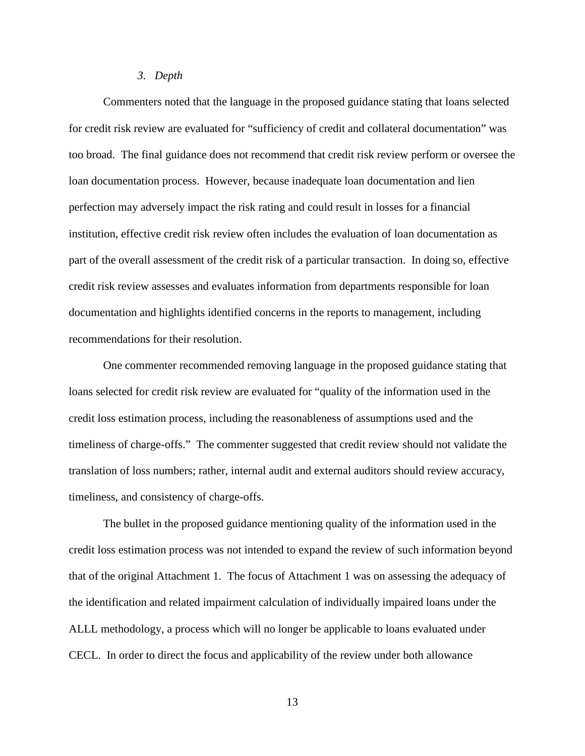#### *3. Depth*

Commenters noted that the language in the proposed guidance stating that loans selected for credit risk review are evaluated for "sufficiency of credit and collateral documentation" was too broad. The final guidance does not recommend that credit risk review perform or oversee the loan documentation process. However, because inadequate loan documentation and lien perfection may adversely impact the risk rating and could result in losses for a financial institution, effective credit risk review often includes the evaluation of loan documentation as part of the overall assessment of the credit risk of a particular transaction. In doing so, effective credit risk review assesses and evaluates information from departments responsible for loan documentation and highlights identified concerns in the reports to management, including recommendations for their resolution.

One commenter recommended removing language in the proposed guidance stating that loans selected for credit risk review are evaluated for "quality of the information used in the credit loss estimation process, including the reasonableness of assumptions used and the timeliness of charge-offs." The commenter suggested that credit review should not validate the translation of loss numbers; rather, internal audit and external auditors should review accuracy, timeliness, and consistency of charge-offs.

The bullet in the proposed guidance mentioning quality of the information used in the credit loss estimation process was not intended to expand the review of such information beyond that of the original Attachment 1. The focus of Attachment 1 was on assessing the adequacy of the identification and related impairment calculation of individually impaired loans under the ALLL methodology, a process which will no longer be applicable to loans evaluated under CECL. In order to direct the focus and applicability of the review under both allowance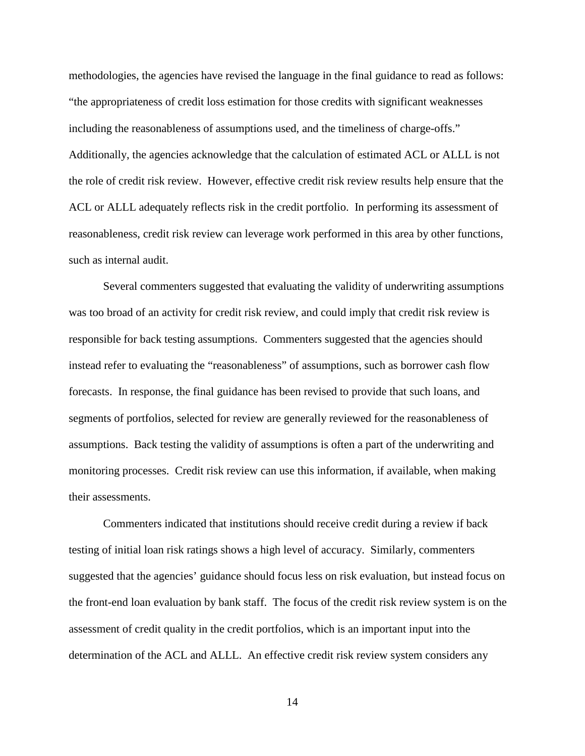methodologies, the agencies have revised the language in the final guidance to read as follows: "the appropriateness of credit loss estimation for those credits with significant weaknesses including the reasonableness of assumptions used, and the timeliness of charge-offs." Additionally, the agencies acknowledge that the calculation of estimated ACL or ALLL is not the role of credit risk review. However, effective credit risk review results help ensure that the ACL or ALLL adequately reflects risk in the credit portfolio. In performing its assessment of reasonableness, credit risk review can leverage work performed in this area by other functions, such as internal audit.

Several commenters suggested that evaluating the validity of underwriting assumptions was too broad of an activity for credit risk review, and could imply that credit risk review is responsible for back testing assumptions. Commenters suggested that the agencies should instead refer to evaluating the "reasonableness" of assumptions, such as borrower cash flow forecasts. In response, the final guidance has been revised to provide that such loans, and segments of portfolios, selected for review are generally reviewed for the reasonableness of assumptions. Back testing the validity of assumptions is often a part of the underwriting and monitoring processes. Credit risk review can use this information, if available, when making their assessments.

Commenters indicated that institutions should receive credit during a review if back testing of initial loan risk ratings shows a high level of accuracy. Similarly, commenters suggested that the agencies' guidance should focus less on risk evaluation, but instead focus on the front-end loan evaluation by bank staff. The focus of the credit risk review system is on the assessment of credit quality in the credit portfolios, which is an important input into the determination of the ACL and ALLL. An effective credit risk review system considers any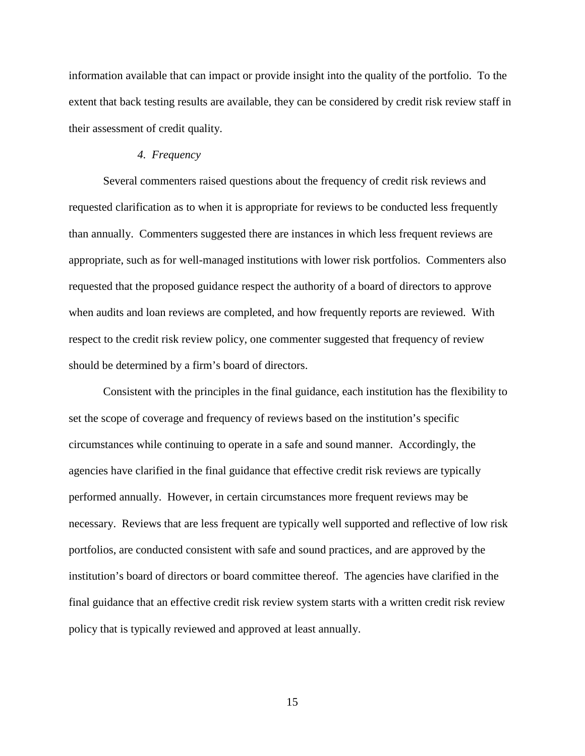information available that can impact or provide insight into the quality of the portfolio. To the extent that back testing results are available, they can be considered by credit risk review staff in their assessment of credit quality.

## *4. Frequency*

Several commenters raised questions about the frequency of credit risk reviews and requested clarification as to when it is appropriate for reviews to be conducted less frequently than annually. Commenters suggested there are instances in which less frequent reviews are appropriate, such as for well-managed institutions with lower risk portfolios. Commenters also requested that the proposed guidance respect the authority of a board of directors to approve when audits and loan reviews are completed, and how frequently reports are reviewed. With respect to the credit risk review policy, one commenter suggested that frequency of review should be determined by a firm's board of directors.

Consistent with the principles in the final guidance, each institution has the flexibility to set the scope of coverage and frequency of reviews based on the institution's specific circumstances while continuing to operate in a safe and sound manner. Accordingly, the agencies have clarified in the final guidance that effective credit risk reviews are typically performed annually. However, in certain circumstances more frequent reviews may be necessary. Reviews that are less frequent are typically well supported and reflective of low risk portfolios, are conducted consistent with safe and sound practices, and are approved by the institution's board of directors or board committee thereof. The agencies have clarified in the final guidance that an effective credit risk review system starts with a written credit risk review policy that is typically reviewed and approved at least annually.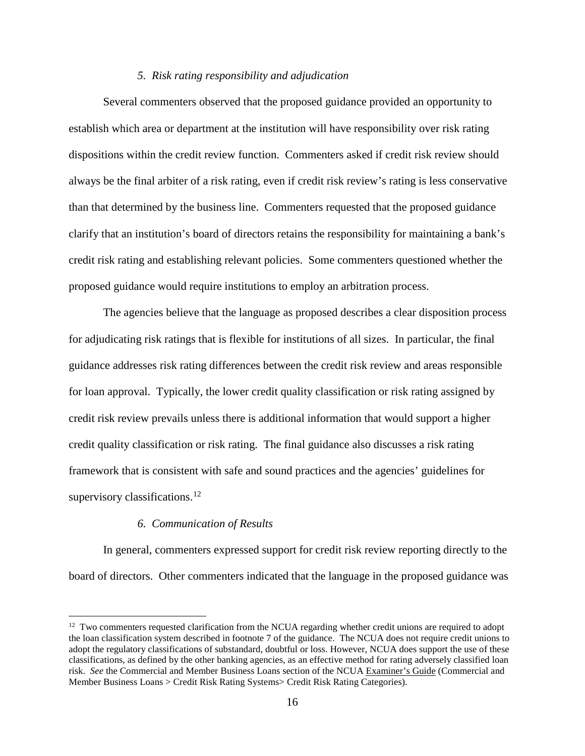## *5. Risk rating responsibility and adjudication*

Several commenters observed that the proposed guidance provided an opportunity to establish which area or department at the institution will have responsibility over risk rating dispositions within the credit review function. Commenters asked if credit risk review should always be the final arbiter of a risk rating, even if credit risk review's rating is less conservative than that determined by the business line. Commenters requested that the proposed guidance clarify that an institution's board of directors retains the responsibility for maintaining a bank's credit risk rating and establishing relevant policies. Some commenters questioned whether the proposed guidance would require institutions to employ an arbitration process.

The agencies believe that the language as proposed describes a clear disposition process for adjudicating risk ratings that is flexible for institutions of all sizes. In particular, the final guidance addresses risk rating differences between the credit risk review and areas responsible for loan approval. Typically, the lower credit quality classification or risk rating assigned by credit risk review prevails unless there is additional information that would support a higher credit quality classification or risk rating. The final guidance also discusses a risk rating framework that is consistent with safe and sound practices and the agencies' guidelines for supervisory classifications.<sup>[12](#page-15-0)</sup>

#### *6. Communication of Results*

In general, commenters expressed support for credit risk review reporting directly to the board of directors. Other commenters indicated that the language in the proposed guidance was

<span id="page-15-0"></span> $12$  Two commenters requested clarification from the NCUA regarding whether credit unions are required to adopt the loan classification system described in footnote 7 of the guidance. The NCUA does not require credit unions to adopt the regulatory classifications of substandard, doubtful or loss. However, NCUA does support the use of these classifications, as defined by the other banking agencies, as an effective method for rating adversely classified loan risk. *See* the Commercial and Member Business Loans section of the NCUA Examiner's Guide (Commercial and Member Business Loans > Credit Risk Rating Systems> Credit Risk Rating Categories).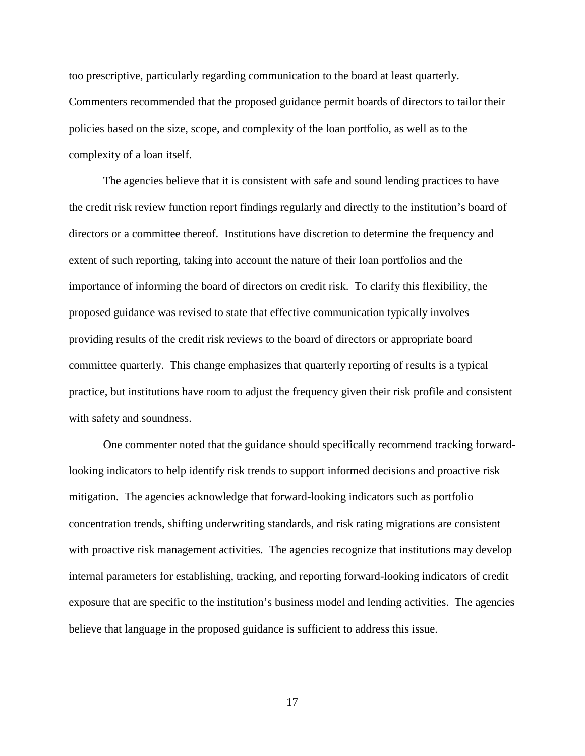too prescriptive, particularly regarding communication to the board at least quarterly. Commenters recommended that the proposed guidance permit boards of directors to tailor their policies based on the size, scope, and complexity of the loan portfolio, as well as to the complexity of a loan itself.

The agencies believe that it is consistent with safe and sound lending practices to have the credit risk review function report findings regularly and directly to the institution's board of directors or a committee thereof. Institutions have discretion to determine the frequency and extent of such reporting, taking into account the nature of their loan portfolios and the importance of informing the board of directors on credit risk. To clarify this flexibility, the proposed guidance was revised to state that effective communication typically involves providing results of the credit risk reviews to the board of directors or appropriate board committee quarterly. This change emphasizes that quarterly reporting of results is a typical practice, but institutions have room to adjust the frequency given their risk profile and consistent with safety and soundness.

One commenter noted that the guidance should specifically recommend tracking forwardlooking indicators to help identify risk trends to support informed decisions and proactive risk mitigation. The agencies acknowledge that forward-looking indicators such as portfolio concentration trends, shifting underwriting standards, and risk rating migrations are consistent with proactive risk management activities. The agencies recognize that institutions may develop internal parameters for establishing, tracking, and reporting forward-looking indicators of credit exposure that are specific to the institution's business model and lending activities. The agencies believe that language in the proposed guidance is sufficient to address this issue.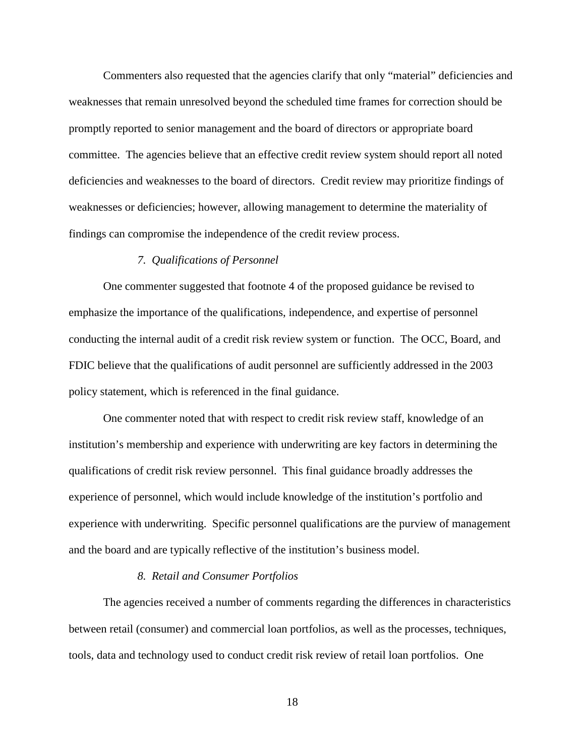Commenters also requested that the agencies clarify that only "material" deficiencies and weaknesses that remain unresolved beyond the scheduled time frames for correction should be promptly reported to senior management and the board of directors or appropriate board committee. The agencies believe that an effective credit review system should report all noted deficiencies and weaknesses to the board of directors. Credit review may prioritize findings of weaknesses or deficiencies; however, allowing management to determine the materiality of findings can compromise the independence of the credit review process.

#### *7. Qualifications of Personnel*

One commenter suggested that footnote 4 of the proposed guidance be revised to emphasize the importance of the qualifications, independence, and expertise of personnel conducting the internal audit of a credit risk review system or function. The OCC, Board, and FDIC believe that the qualifications of audit personnel are sufficiently addressed in the 2003 policy statement, which is referenced in the final guidance.

One commenter noted that with respect to credit risk review staff, knowledge of an institution's membership and experience with underwriting are key factors in determining the qualifications of credit risk review personnel. This final guidance broadly addresses the experience of personnel, which would include knowledge of the institution's portfolio and experience with underwriting. Specific personnel qualifications are the purview of management and the board and are typically reflective of the institution's business model.

#### *8. Retail and Consumer Portfolios*

The agencies received a number of comments regarding the differences in characteristics between retail (consumer) and commercial loan portfolios, as well as the processes, techniques, tools, data and technology used to conduct credit risk review of retail loan portfolios. One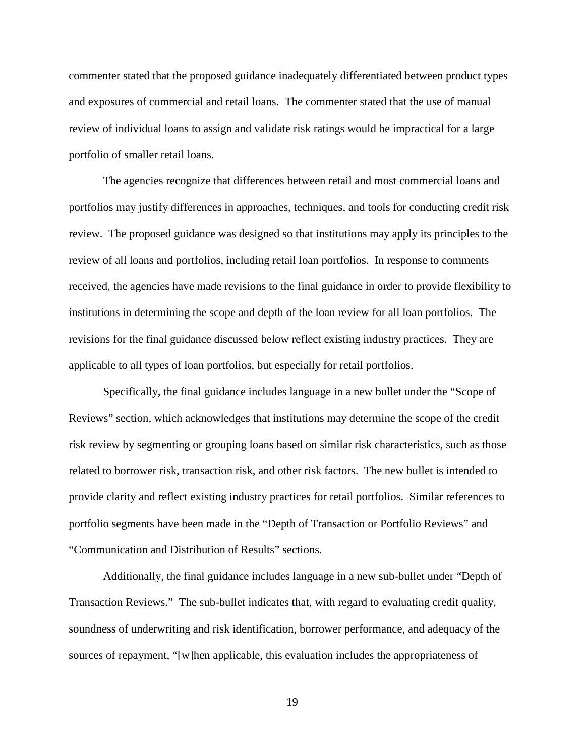commenter stated that the proposed guidance inadequately differentiated between product types and exposures of commercial and retail loans. The commenter stated that the use of manual review of individual loans to assign and validate risk ratings would be impractical for a large portfolio of smaller retail loans.

The agencies recognize that differences between retail and most commercial loans and portfolios may justify differences in approaches, techniques, and tools for conducting credit risk review. The proposed guidance was designed so that institutions may apply its principles to the review of all loans and portfolios, including retail loan portfolios. In response to comments received, the agencies have made revisions to the final guidance in order to provide flexibility to institutions in determining the scope and depth of the loan review for all loan portfolios. The revisions for the final guidance discussed below reflect existing industry practices. They are applicable to all types of loan portfolios, but especially for retail portfolios.

Specifically, the final guidance includes language in a new bullet under the "Scope of Reviews" section, which acknowledges that institutions may determine the scope of the credit risk review by segmenting or grouping loans based on similar risk characteristics, such as those related to borrower risk, transaction risk, and other risk factors. The new bullet is intended to provide clarity and reflect existing industry practices for retail portfolios. Similar references to portfolio segments have been made in the "Depth of Transaction or Portfolio Reviews" and "Communication and Distribution of Results" sections.

Additionally, the final guidance includes language in a new sub-bullet under "Depth of Transaction Reviews." The sub-bullet indicates that, with regard to evaluating credit quality, soundness of underwriting and risk identification, borrower performance, and adequacy of the sources of repayment, "[w]hen applicable, this evaluation includes the appropriateness of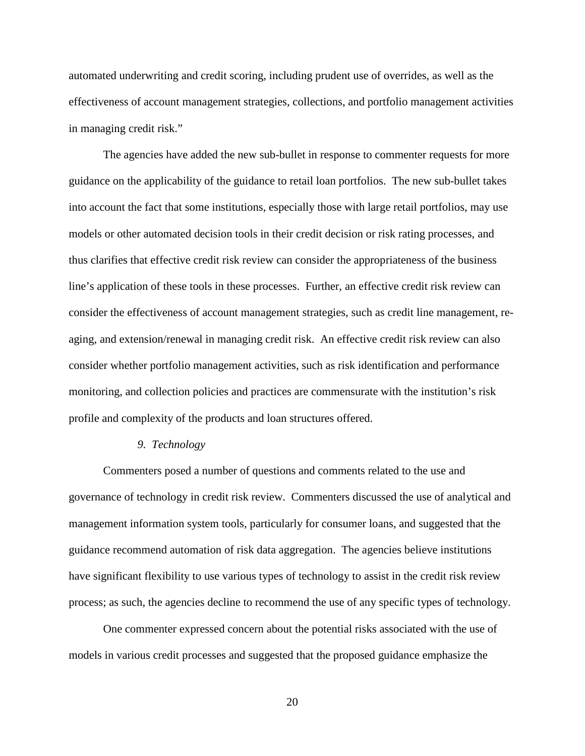automated underwriting and credit scoring, including prudent use of overrides, as well as the effectiveness of account management strategies, collections, and portfolio management activities in managing credit risk."

The agencies have added the new sub-bullet in response to commenter requests for more guidance on the applicability of the guidance to retail loan portfolios. The new sub-bullet takes into account the fact that some institutions, especially those with large retail portfolios, may use models or other automated decision tools in their credit decision or risk rating processes, and thus clarifies that effective credit risk review can consider the appropriateness of the business line's application of these tools in these processes. Further, an effective credit risk review can consider the effectiveness of account management strategies, such as credit line management, reaging, and extension/renewal in managing credit risk. An effective credit risk review can also consider whether portfolio management activities, such as risk identification and performance monitoring, and collection policies and practices are commensurate with the institution's risk profile and complexity of the products and loan structures offered.

#### *9. Technology*

Commenters posed a number of questions and comments related to the use and governance of technology in credit risk review. Commenters discussed the use of analytical and management information system tools, particularly for consumer loans, and suggested that the guidance recommend automation of risk data aggregation. The agencies believe institutions have significant flexibility to use various types of technology to assist in the credit risk review process; as such, the agencies decline to recommend the use of any specific types of technology.

One commenter expressed concern about the potential risks associated with the use of models in various credit processes and suggested that the proposed guidance emphasize the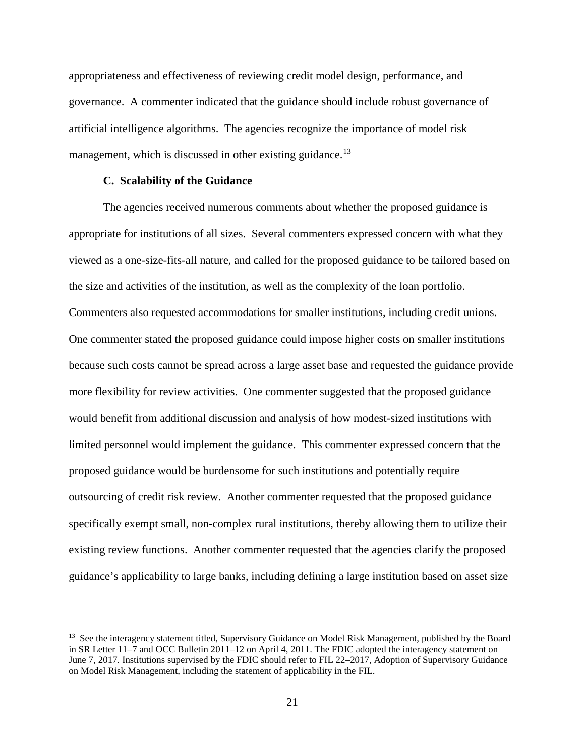appropriateness and effectiveness of reviewing credit model design, performance, and governance. A commenter indicated that the guidance should include robust governance of artificial intelligence algorithms. The agencies recognize the importance of model risk management, which is discussed in other existing guidance.<sup>[13](#page-20-0)</sup>

#### **C. Scalability of the Guidance**

The agencies received numerous comments about whether the proposed guidance is appropriate for institutions of all sizes. Several commenters expressed concern with what they viewed as a one-size-fits-all nature, and called for the proposed guidance to be tailored based on the size and activities of the institution, as well as the complexity of the loan portfolio. Commenters also requested accommodations for smaller institutions, including credit unions. One commenter stated the proposed guidance could impose higher costs on smaller institutions because such costs cannot be spread across a large asset base and requested the guidance provide more flexibility for review activities. One commenter suggested that the proposed guidance would benefit from additional discussion and analysis of how modest-sized institutions with limited personnel would implement the guidance. This commenter expressed concern that the proposed guidance would be burdensome for such institutions and potentially require outsourcing of credit risk review. Another commenter requested that the proposed guidance specifically exempt small, non-complex rural institutions, thereby allowing them to utilize their existing review functions. Another commenter requested that the agencies clarify the proposed guidance's applicability to large banks, including defining a large institution based on asset size

<span id="page-20-0"></span><sup>&</sup>lt;sup>13</sup> See the interagency statement titled, Supervisory Guidance on Model Risk Management, published by the Board in SR Letter 11–7 and OCC Bulletin 2011–12 on April 4, 2011. The FDIC adopted the interagency statement on June 7, 2017. Institutions supervised by the FDIC should refer to FIL 22–2017, Adoption of Supervisory Guidance on Model Risk Management, including the statement of applicability in the FIL.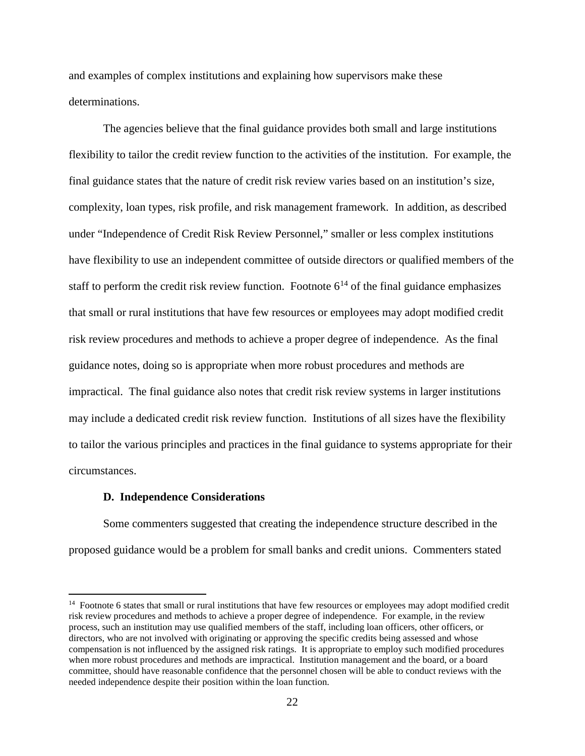and examples of complex institutions and explaining how supervisors make these determinations.

The agencies believe that the final guidance provides both small and large institutions flexibility to tailor the credit review function to the activities of the institution. For example, the final guidance states that the nature of credit risk review varies based on an institution's size, complexity, loan types, risk profile, and risk management framework. In addition, as described under "Independence of Credit Risk Review Personnel," smaller or less complex institutions have flexibility to use an independent committee of outside directors or qualified members of the staff to perform the credit risk review function. Footnote  $6^{14}$  $6^{14}$  $6^{14}$  of the final guidance emphasizes that small or rural institutions that have few resources or employees may adopt modified credit risk review procedures and methods to achieve a proper degree of independence. As the final guidance notes, doing so is appropriate when more robust procedures and methods are impractical. The final guidance also notes that credit risk review systems in larger institutions may include a dedicated credit risk review function. Institutions of all sizes have the flexibility to tailor the various principles and practices in the final guidance to systems appropriate for their circumstances.

#### **D. Independence Considerations**

Some commenters suggested that creating the independence structure described in the proposed guidance would be a problem for small banks and credit unions. Commenters stated

<span id="page-21-0"></span><sup>&</sup>lt;sup>14</sup> Footnote 6 states that small or rural institutions that have few resources or employees may adopt modified credit risk review procedures and methods to achieve a proper degree of independence. For example, in the review process, such an institution may use qualified members of the staff, including loan officers, other officers, or directors, who are not involved with originating or approving the specific credits being assessed and whose compensation is not influenced by the assigned risk ratings. It is appropriate to employ such modified procedures when more robust procedures and methods are impractical. Institution management and the board, or a board committee, should have reasonable confidence that the personnel chosen will be able to conduct reviews with the needed independence despite their position within the loan function.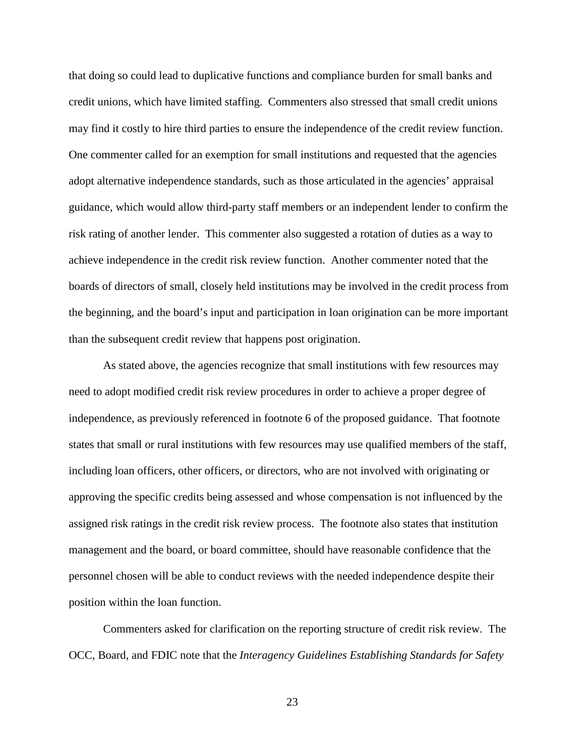that doing so could lead to duplicative functions and compliance burden for small banks and credit unions, which have limited staffing. Commenters also stressed that small credit unions may find it costly to hire third parties to ensure the independence of the credit review function. One commenter called for an exemption for small institutions and requested that the agencies adopt alternative independence standards, such as those articulated in the agencies' appraisal guidance, which would allow third-party staff members or an independent lender to confirm the risk rating of another lender. This commenter also suggested a rotation of duties as a way to achieve independence in the credit risk review function. Another commenter noted that the boards of directors of small, closely held institutions may be involved in the credit process from the beginning, and the board's input and participation in loan origination can be more important than the subsequent credit review that happens post origination.

As stated above, the agencies recognize that small institutions with few resources may need to adopt modified credit risk review procedures in order to achieve a proper degree of independence, as previously referenced in footnote 6 of the proposed guidance. That footnote states that small or rural institutions with few resources may use qualified members of the staff, including loan officers, other officers, or directors, who are not involved with originating or approving the specific credits being assessed and whose compensation is not influenced by the assigned risk ratings in the credit risk review process. The footnote also states that institution management and the board, or board committee, should have reasonable confidence that the personnel chosen will be able to conduct reviews with the needed independence despite their position within the loan function.

Commenters asked for clarification on the reporting structure of credit risk review. The OCC, Board, and FDIC note that the *Interagency Guidelines Establishing Standards for Safety*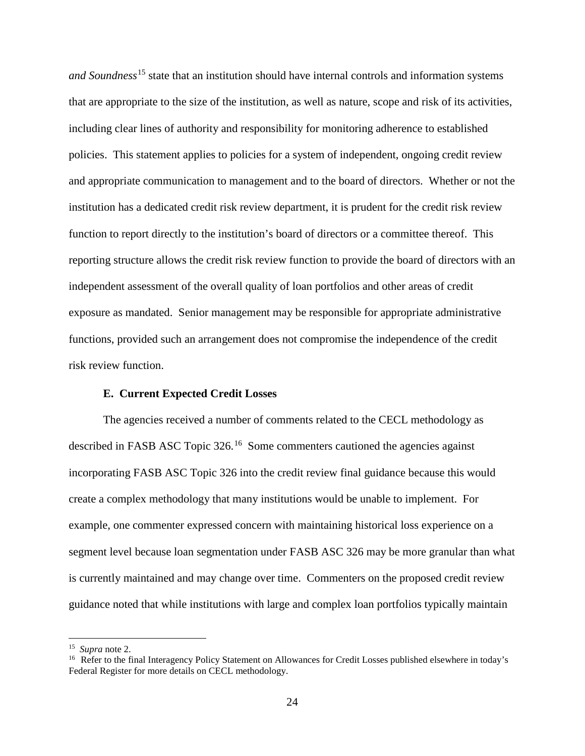*and Soundness*[15](#page-23-0) state that an institution should have internal controls and information systems that are appropriate to the size of the institution, as well as nature, scope and risk of its activities, including clear lines of authority and responsibility for monitoring adherence to established policies. This statement applies to policies for a system of independent, ongoing credit review and appropriate communication to management and to the board of directors. Whether or not the institution has a dedicated credit risk review department, it is prudent for the credit risk review function to report directly to the institution's board of directors or a committee thereof. This reporting structure allows the credit risk review function to provide the board of directors with an independent assessment of the overall quality of loan portfolios and other areas of credit exposure as mandated. Senior management may be responsible for appropriate administrative functions, provided such an arrangement does not compromise the independence of the credit risk review function.

### **E. Current Expected Credit Losses**

The agencies received a number of comments related to the CECL methodology as described in FASB ASC Topic 326.<sup>[16](#page-23-1)</sup> Some commenters cautioned the agencies against incorporating FASB ASC Topic 326 into the credit review final guidance because this would create a complex methodology that many institutions would be unable to implement. For example, one commenter expressed concern with maintaining historical loss experience on a segment level because loan segmentation under FASB ASC 326 may be more granular than what is currently maintained and may change over time. Commenters on the proposed credit review guidance noted that while institutions with large and complex loan portfolios typically maintain

<span id="page-23-1"></span><span id="page-23-0"></span><sup>&</sup>lt;sup>15</sup> Supra note 2.<br><sup>16</sup> Refer to the final Interagency Policy Statement on Allowances for Credit Losses published elsewhere in today's Federal Register for more details on CECL methodology.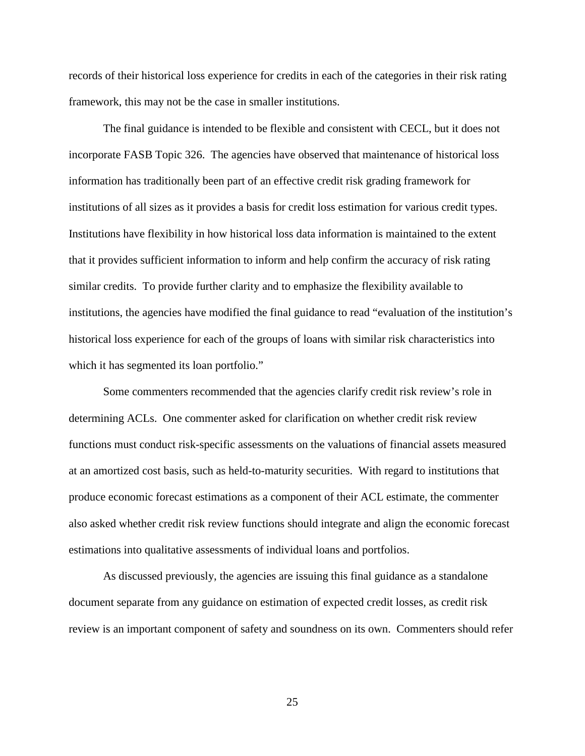records of their historical loss experience for credits in each of the categories in their risk rating framework, this may not be the case in smaller institutions.

The final guidance is intended to be flexible and consistent with CECL, but it does not incorporate FASB Topic 326. The agencies have observed that maintenance of historical loss information has traditionally been part of an effective credit risk grading framework for institutions of all sizes as it provides a basis for credit loss estimation for various credit types. Institutions have flexibility in how historical loss data information is maintained to the extent that it provides sufficient information to inform and help confirm the accuracy of risk rating similar credits. To provide further clarity and to emphasize the flexibility available to institutions, the agencies have modified the final guidance to read "evaluation of the institution's historical loss experience for each of the groups of loans with similar risk characteristics into which it has segmented its loan portfolio."

Some commenters recommended that the agencies clarify credit risk review's role in determining ACLs. One commenter asked for clarification on whether credit risk review functions must conduct risk-specific assessments on the valuations of financial assets measured at an amortized cost basis, such as held-to-maturity securities. With regard to institutions that produce economic forecast estimations as a component of their ACL estimate, the commenter also asked whether credit risk review functions should integrate and align the economic forecast estimations into qualitative assessments of individual loans and portfolios.

As discussed previously, the agencies are issuing this final guidance as a standalone document separate from any guidance on estimation of expected credit losses, as credit risk review is an important component of safety and soundness on its own. Commenters should refer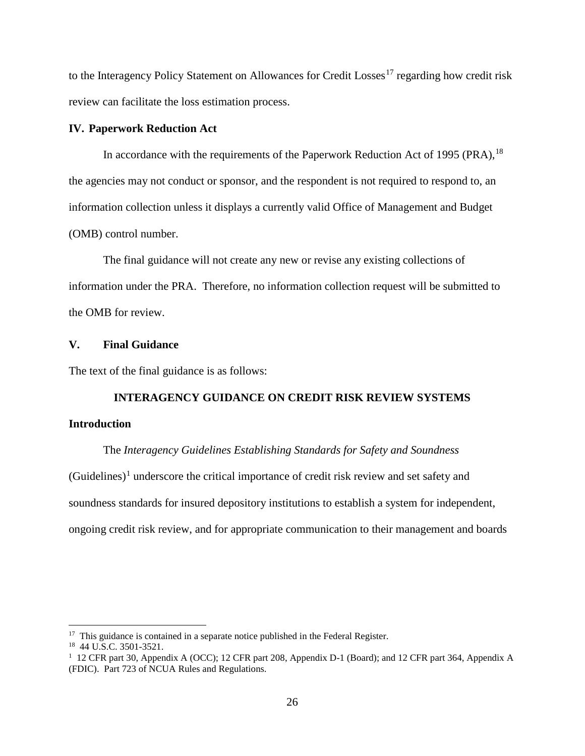to the Interagency Policy Statement on Allowances for Credit Losses<sup>[17](#page-25-0)</sup> regarding how credit risk review can facilitate the loss estimation process.

# **IV. Paperwork Reduction Act**

In accordance with the requirements of the Paperwork Reduction Act of 1995 (PRA),  $^{18}$  $^{18}$  $^{18}$ the agencies may not conduct or sponsor, and the respondent is not required to respond to, an information collection unless it displays a currently valid Office of Management and Budget (OMB) control number.

The final guidance will not create any new or revise any existing collections of information under the PRA. Therefore, no information collection request will be submitted to the OMB for review.

# **V. Final Guidance**

The text of the final guidance is as follows:

# **INTERAGENCY GUIDANCE ON CREDIT RISK REVIEW SYSTEMS Introduction**

The *Interagency Guidelines Establishing Standards for Safety and Soundness*  $(Guidelines)^1$  $(Guidelines)^1$  underscore the critical importance of credit risk review and set safety and soundness standards for insured depository institutions to establish a system for independent, ongoing credit risk review, and for appropriate communication to their management and boards

<span id="page-25-0"></span><sup>&</sup>lt;sup>17</sup> This guidance is contained in a separate notice published in the Federal Register.

<span id="page-25-1"></span><sup>&</sup>lt;sup>18</sup> 44 U.S.C. 3501-3521.

<span id="page-25-2"></span><sup>&</sup>lt;sup>1</sup> 12 CFR part 30, Appendix A (OCC); 12 CFR part 208, Appendix D-1 (Board); and 12 CFR part 364, Appendix A (FDIC). Part 723 of NCUA Rules and Regulations.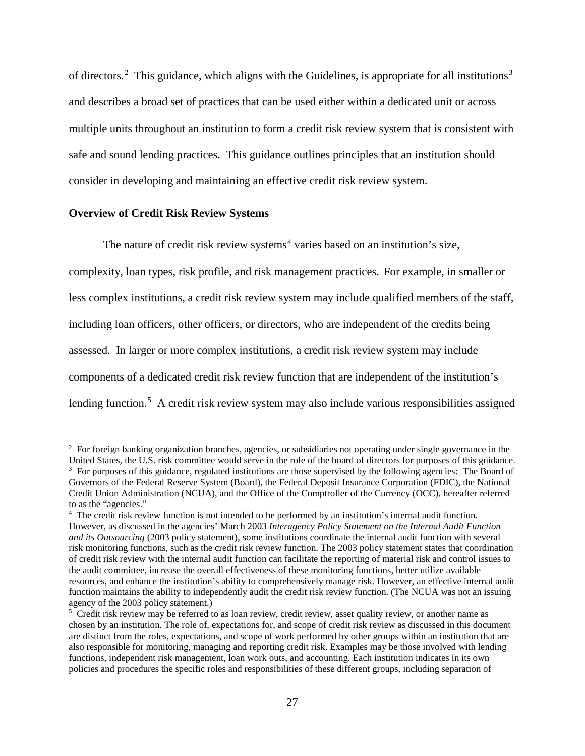of directors.<sup>[2](#page-26-0)</sup> This guidance, which aligns with the Guidelines, is appropriate for all institutions<sup>[3](#page-26-1)</sup> and describes a broad set of practices that can be used either within a dedicated unit or across multiple units throughout an institution to form a credit risk review system that is consistent with safe and sound lending practices. This guidance outlines principles that an institution should consider in developing and maintaining an effective credit risk review system.

#### **Overview of Credit Risk Review Systems**

The nature of credit risk review systems<sup>[4](#page-26-2)</sup> varies based on an institution's size,

complexity, loan types, risk profile, and risk management practices. For example, in smaller or less complex institutions, a credit risk review system may include qualified members of the staff, including loan officers, other officers, or directors, who are independent of the credits being assessed. In larger or more complex institutions, a credit risk review system may include components of a dedicated credit risk review function that are independent of the institution's lending function.<sup>[5](#page-26-3)</sup> A credit risk review system may also include various responsibilities assigned

<span id="page-26-1"></span><span id="page-26-0"></span> $\frac{1}{2}$  $<sup>2</sup>$  For foreign banking organization branches, agencies, or subsidiaries not operating under single governance in the</sup> United States, the U.S. risk committee would serve in the role of the board of directors for purposes of this guidance. <sup>3</sup> For purposes of this guidance, regulated institutions are those supervised by the following agencies: The Board of Governors of the Federal Reserve System (Board), the Federal Deposit Insurance Corporation (FDIC), the National Credit Union Administration (NCUA), and the Office of the Comptroller of the Currency (OCC), hereafter referred to as the "agencies."

<span id="page-26-2"></span><sup>&</sup>lt;sup>4</sup> The credit risk review function is not intended to be performed by an institution's internal audit function. However, as discussed in the agencies' March 2003 *Interagency Policy Statement on the Internal Audit Function and its Outsourcing* (2003 policy statement), some institutions coordinate the internal audit function with several risk monitoring functions, such as the credit risk review function. The 2003 policy statement states that coordination of credit risk review with the internal audit function can facilitate the reporting of material risk and control issues to the audit committee, increase the overall effectiveness of these monitoring functions, better utilize available resources, and enhance the institution's ability to comprehensively manage risk. However, an effective internal audit function maintains the ability to independently audit the credit risk review function. (The NCUA was not an issuing agency of the 2003 policy statement.)

<span id="page-26-3"></span><sup>&</sup>lt;sup>5</sup> Credit risk review may be referred to as loan review, credit review, asset quality review, or another name as chosen by an institution. The role of, expectations for, and scope of credit risk review as discussed in this document are distinct from the roles, expectations, and scope of work performed by other groups within an institution that are also responsible for monitoring, managing and reporting credit risk. Examples may be those involved with lending functions, independent risk management, loan work outs, and accounting. Each institution indicates in its own policies and procedures the specific roles and responsibilities of these different groups, including separation of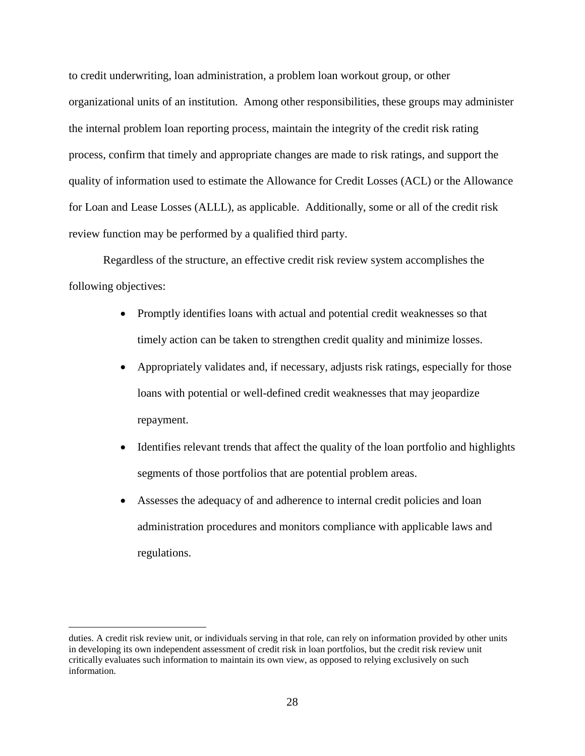to credit underwriting, loan administration, a problem loan workout group, or other organizational units of an institution. Among other responsibilities, these groups may administer the internal problem loan reporting process, maintain the integrity of the credit risk rating process, confirm that timely and appropriate changes are made to risk ratings, and support the quality of information used to estimate the Allowance for Credit Losses (ACL) or the Allowance for Loan and Lease Losses (ALLL), as applicable. Additionally, some or all of the credit risk review function may be performed by a qualified third party.

Regardless of the structure, an effective credit risk review system accomplishes the following objectives:

- Promptly identifies loans with actual and potential credit weaknesses so that timely action can be taken to strengthen credit quality and minimize losses.
- Appropriately validates and, if necessary, adjusts risk ratings, especially for those loans with potential or well-defined credit weaknesses that may jeopardize repayment.
- Identifies relevant trends that affect the quality of the loan portfolio and highlights segments of those portfolios that are potential problem areas.
- Assesses the adequacy of and adherence to internal credit policies and loan administration procedures and monitors compliance with applicable laws and regulations.

 $\overline{a}$ 

duties. A credit risk review unit, or individuals serving in that role, can rely on information provided by other units in developing its own independent assessment of credit risk in loan portfolios, but the credit risk review unit critically evaluates such information to maintain its own view, as opposed to relying exclusively on such information.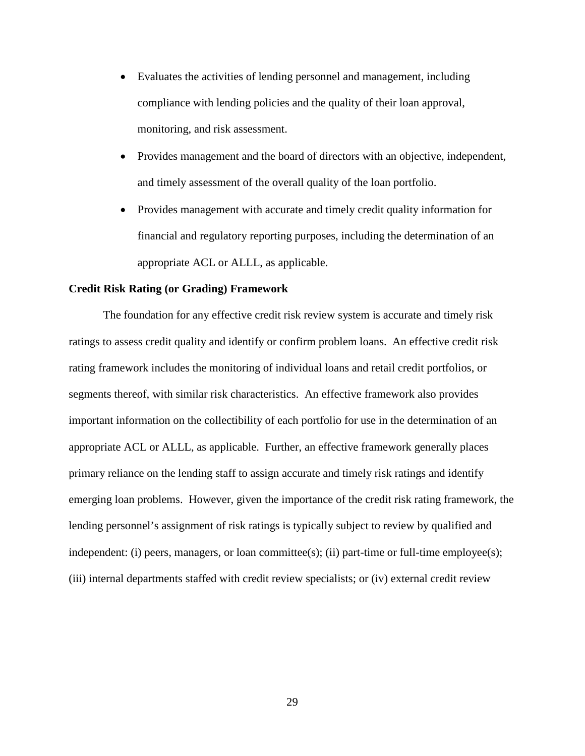- Evaluates the activities of lending personnel and management, including compliance with lending policies and the quality of their loan approval, monitoring, and risk assessment.
- Provides management and the board of directors with an objective, independent, and timely assessment of the overall quality of the loan portfolio.
- Provides management with accurate and timely credit quality information for financial and regulatory reporting purposes, including the determination of an appropriate ACL or ALLL, as applicable.

# **Credit Risk Rating (or Grading) Framework**

The foundation for any effective credit risk review system is accurate and timely risk ratings to assess credit quality and identify or confirm problem loans. An effective credit risk rating framework includes the monitoring of individual loans and retail credit portfolios, or segments thereof, with similar risk characteristics. An effective framework also provides important information on the collectibility of each portfolio for use in the determination of an appropriate ACL or ALLL, as applicable. Further, an effective framework generally places primary reliance on the lending staff to assign accurate and timely risk ratings and identify emerging loan problems. However, given the importance of the credit risk rating framework, the lending personnel's assignment of risk ratings is typically subject to review by qualified and independent: (i) peers, managers, or loan committee(s); (ii) part-time or full-time employee(s); (iii) internal departments staffed with credit review specialists; or (iv) external credit review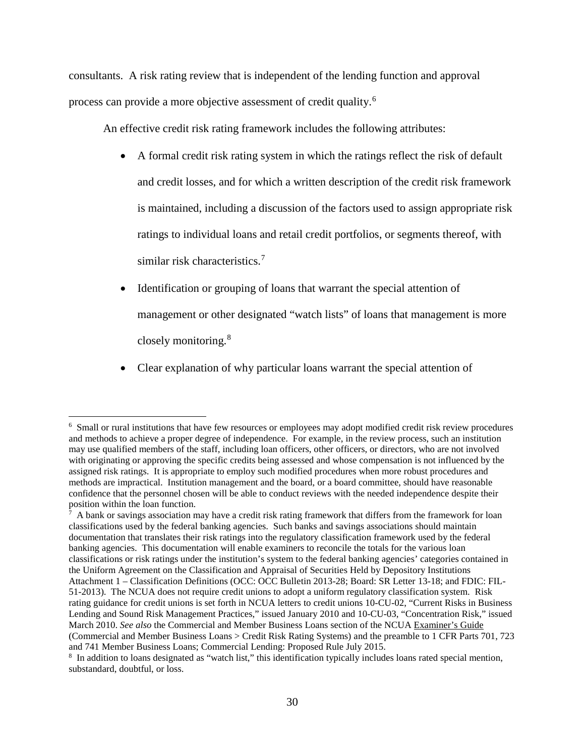consultants. A risk rating review that is independent of the lending function and approval process can provide a more objective assessment of credit quality.[6](#page-29-0)

An effective credit risk rating framework includes the following attributes:

- A formal credit risk rating system in which the ratings reflect the risk of default and credit losses, and for which a written description of the credit risk framework is maintained, including a discussion of the factors used to assign appropriate risk ratings to individual loans and retail credit portfolios, or segments thereof, with similar risk characteristics.<sup>[7](#page-29-1)</sup>
- Identification or grouping of loans that warrant the special attention of management or other designated "watch lists" of loans that management is more closely monitoring.[8](#page-29-2)
- Clear explanation of why particular loans warrant the special attention of

<span id="page-29-0"></span> $\frac{1}{6}$ <sup>6</sup> Small or rural institutions that have few resources or employees may adopt modified credit risk review procedures and methods to achieve a proper degree of independence. For example, in the review process, such an institution may use qualified members of the staff, including loan officers, other officers, or directors, who are not involved with originating or approving the specific credits being assessed and whose compensation is not influenced by the assigned risk ratings. It is appropriate to employ such modified procedures when more robust procedures and methods are impractical. Institution management and the board, or a board committee, should have reasonable confidence that the personnel chosen will be able to conduct reviews with the needed independence despite their position within the loan function.

<span id="page-29-1"></span><sup>7</sup> A bank or savings association may have a credit risk rating framework that differs from the framework for loan classifications used by the federal banking agencies. Such banks and savings associations should maintain documentation that translates their risk ratings into the regulatory classification framework used by the federal banking agencies. This documentation will enable examiners to reconcile the totals for the various loan classifications or risk ratings under the institution's system to the federal banking agencies' categories contained in the Uniform Agreement on the Classification and Appraisal of Securities Held by Depository Institutions Attachment 1 – Classification Definitions (OCC: OCC Bulletin 2013-28; Board: SR Letter 13-18; and FDIC: FIL-51-2013). The NCUA does not require credit unions to adopt a uniform regulatory classification system. Risk rating guidance for credit unions is set forth in NCUA letters to credit unions 10-CU-02, "Current Risks in Business Lending and Sound Risk Management Practices," issued January 2010 and 10-CU-03, "Concentration Risk," issued March 2010. *See also* the Commercial and Member Business Loans section of the NCUA Examiner's Guide (Commercial and Member Business Loans > Credit Risk Rating Systems) and the preamble to 1 CFR Parts 701, 723 and 741 Member Business Loans; Commercial Lending: Proposed Rule July 2015.

<span id="page-29-2"></span><sup>8</sup> In addition to loans designated as "watch list," this identification typically includes loans rated special mention, substandard, doubtful, or loss.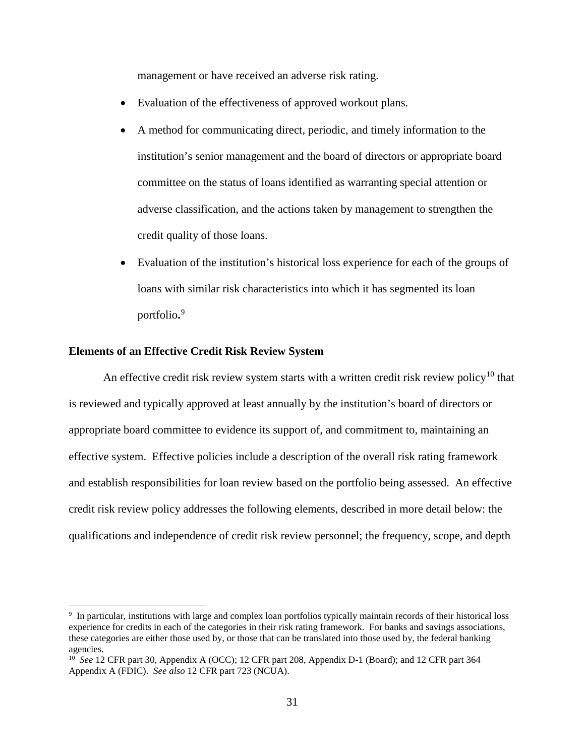management or have received an adverse risk rating.

- Evaluation of the effectiveness of approved workout plans.
- A method for communicating direct, periodic, and timely information to the institution's senior management and the board of directors or appropriate board committee on the status of loans identified as warranting special attention or adverse classification, and the actions taken by management to strengthen the credit quality of those loans.
- Evaluation of the institution's historical loss experience for each of the groups of loans with similar risk characteristics into which it has segmented its loan portfolio**.** [9](#page-30-0)

#### **Elements of an Effective Credit Risk Review System**

An effective credit risk review system starts with a written credit risk review policy<sup>[10](#page-30-1)</sup> that is reviewed and typically approved at least annually by the institution's board of directors or appropriate board committee to evidence its support of, and commitment to, maintaining an effective system. Effective policies include a description of the overall risk rating framework and establish responsibilities for loan review based on the portfolio being assessed. An effective credit risk review policy addresses the following elements, described in more detail below: the qualifications and independence of credit risk review personnel; the frequency, scope, and depth

<span id="page-30-0"></span> <sup>9</sup> In particular, institutions with large and complex loan portfolios typically maintain records of their historical loss experience for credits in each of the categories in their risk rating framework. For banks and savings associations, these categories are either those used by, or those that can be translated into those used by, the federal banking agencies.

<span id="page-30-1"></span><sup>10</sup> *See* 12 CFR part 30, Appendix A (OCC); 12 CFR part 208, Appendix D-1 (Board); and 12 CFR part 364 Appendix A (FDIC). *See also* 12 CFR part 723 (NCUA).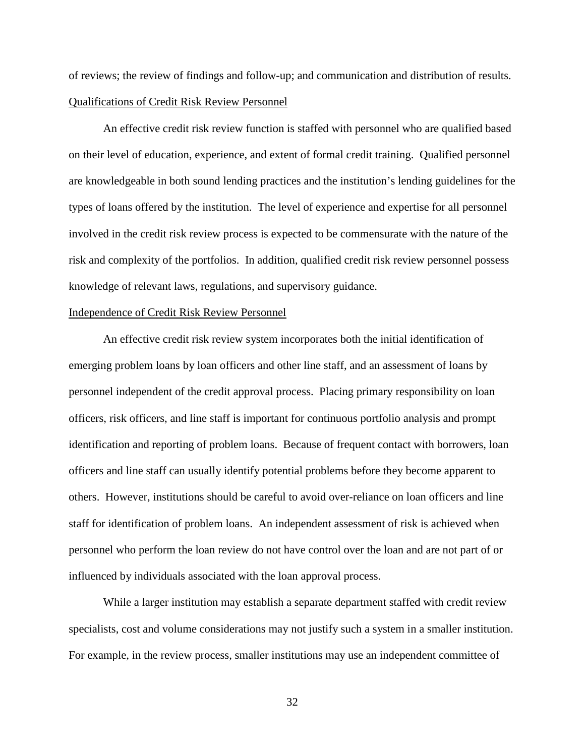of reviews; the review of findings and follow-up; and communication and distribution of results. Qualifications of Credit Risk Review Personnel

An effective credit risk review function is staffed with personnel who are qualified based on their level of education, experience, and extent of formal credit training. Qualified personnel are knowledgeable in both sound lending practices and the institution's lending guidelines for the types of loans offered by the institution. The level of experience and expertise for all personnel involved in the credit risk review process is expected to be commensurate with the nature of the risk and complexity of the portfolios. In addition, qualified credit risk review personnel possess knowledge of relevant laws, regulations, and supervisory guidance.

#### Independence of Credit Risk Review Personnel

An effective credit risk review system incorporates both the initial identification of emerging problem loans by loan officers and other line staff, and an assessment of loans by personnel independent of the credit approval process. Placing primary responsibility on loan officers, risk officers, and line staff is important for continuous portfolio analysis and prompt identification and reporting of problem loans. Because of frequent contact with borrowers, loan officers and line staff can usually identify potential problems before they become apparent to others. However, institutions should be careful to avoid over-reliance on loan officers and line staff for identification of problem loans. An independent assessment of risk is achieved when personnel who perform the loan review do not have control over the loan and are not part of or influenced by individuals associated with the loan approval process.

While a larger institution may establish a separate department staffed with credit review specialists, cost and volume considerations may not justify such a system in a smaller institution. For example, in the review process, smaller institutions may use an independent committee of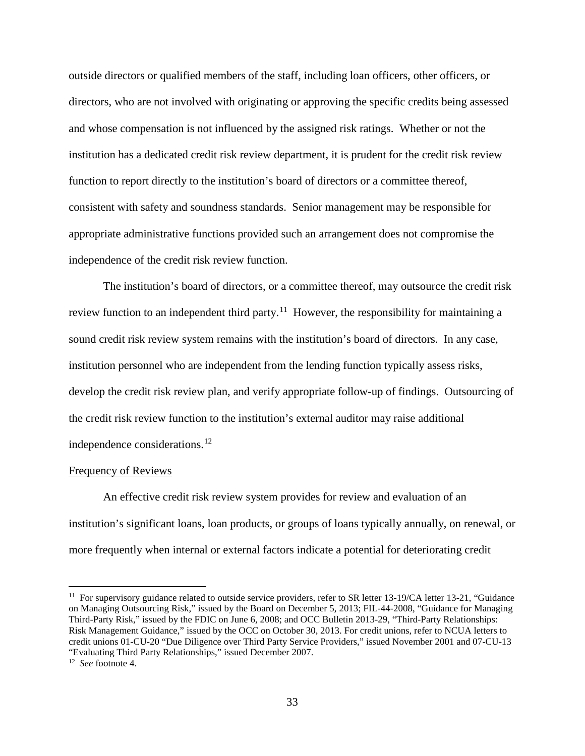outside directors or qualified members of the staff, including loan officers, other officers, or directors, who are not involved with originating or approving the specific credits being assessed and whose compensation is not influenced by the assigned risk ratings. Whether or not the institution has a dedicated credit risk review department, it is prudent for the credit risk review function to report directly to the institution's board of directors or a committee thereof, consistent with safety and soundness standards. Senior management may be responsible for appropriate administrative functions provided such an arrangement does not compromise the independence of the credit risk review function.

The institution's board of directors, or a committee thereof, may outsource the credit risk review function to an independent third party.<sup>11</sup> However, the responsibility for maintaining a sound credit risk review system remains with the institution's board of directors. In any case, institution personnel who are independent from the lending function typically assess risks, develop the credit risk review plan, and verify appropriate follow-up of findings. Outsourcing of the credit risk review function to the institution's external auditor may raise additional independence considerations.<sup>[12](#page-32-1)</sup>

#### Frequency of Reviews

An effective credit risk review system provides for review and evaluation of an institution's significant loans, loan products, or groups of loans typically annually, on renewal, or more frequently when internal or external factors indicate a potential for deteriorating credit

<span id="page-32-0"></span><sup>&</sup>lt;sup>11</sup> For supervisory guidance related to outside service providers, refer to SR letter 13-19/CA letter 13-21, "Guidance on Managing Outsourcing Risk," issued by the Board on December 5, 2013; FIL-44-2008, "Guidance for Managing Third-Party Risk," issued by the FDIC on June 6, 2008; and OCC Bulletin 2013-29, "Third-Party Relationships: Risk Management Guidance," issued by the OCC on October 30, 2013. For credit unions, refer to NCUA letters to credit unions 01-CU-20 "Due Diligence over Third Party Service Providers," issued November 2001 and 07-CU-13 "Evaluating Third Party Relationships," issued December 2007. 12 *See* footnote 4.

<span id="page-32-1"></span>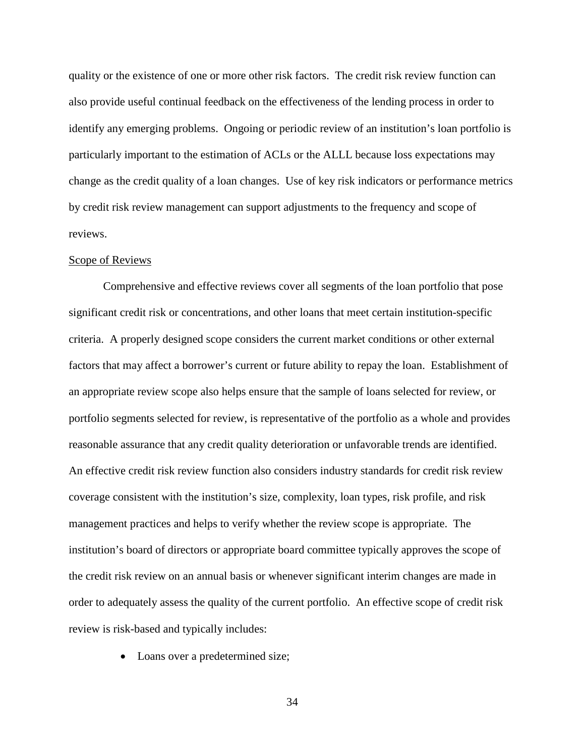quality or the existence of one or more other risk factors. The credit risk review function can also provide useful continual feedback on the effectiveness of the lending process in order to identify any emerging problems. Ongoing or periodic review of an institution's loan portfolio is particularly important to the estimation of ACLs or the ALLL because loss expectations may change as the credit quality of a loan changes. Use of key risk indicators or performance metrics by credit risk review management can support adjustments to the frequency and scope of reviews.

## Scope of Reviews

Comprehensive and effective reviews cover all segments of the loan portfolio that pose significant credit risk or concentrations, and other loans that meet certain institution-specific criteria. A properly designed scope considers the current market conditions or other external factors that may affect a borrower's current or future ability to repay the loan. Establishment of an appropriate review scope also helps ensure that the sample of loans selected for review, or portfolio segments selected for review, is representative of the portfolio as a whole and provides reasonable assurance that any credit quality deterioration or unfavorable trends are identified. An effective credit risk review function also considers industry standards for credit risk review coverage consistent with the institution's size, complexity, loan types, risk profile, and risk management practices and helps to verify whether the review scope is appropriate. The institution's board of directors or appropriate board committee typically approves the scope of the credit risk review on an annual basis or whenever significant interim changes are made in order to adequately assess the quality of the current portfolio. An effective scope of credit risk review is risk-based and typically includes:

• Loans over a predetermined size;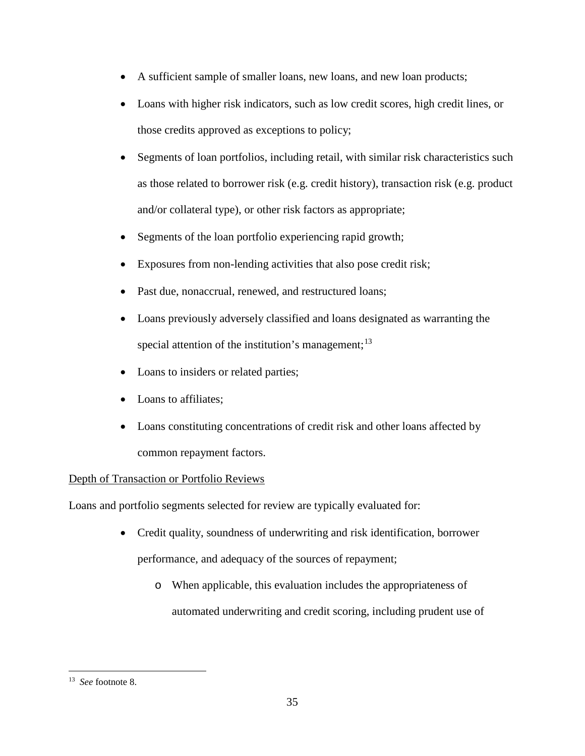- A sufficient sample of smaller loans, new loans, and new loan products;
- Loans with higher risk indicators, such as low credit scores, high credit lines, or those credits approved as exceptions to policy;
- Segments of loan portfolios, including retail, with similar risk characteristics such as those related to borrower risk (e.g. credit history), transaction risk (e.g. product and/or collateral type), or other risk factors as appropriate;
- Segments of the loan portfolio experiencing rapid growth;
- Exposures from non-lending activities that also pose credit risk;
- Past due, nonaccrual, renewed, and restructured loans;
- Loans previously adversely classified and loans designated as warranting the special attention of the institution's management;<sup>13</sup>
- Loans to insiders or related parties;
- Loans to affiliates;
- Loans constituting concentrations of credit risk and other loans affected by common repayment factors.

# Depth of Transaction or Portfolio Reviews

Loans and portfolio segments selected for review are typically evaluated for:

- Credit quality, soundness of underwriting and risk identification, borrower performance, and adequacy of the sources of repayment;
	- o When applicable, this evaluation includes the appropriateness of automated underwriting and credit scoring, including prudent use of

<span id="page-34-0"></span> <sup>13</sup> *See* footnote 8.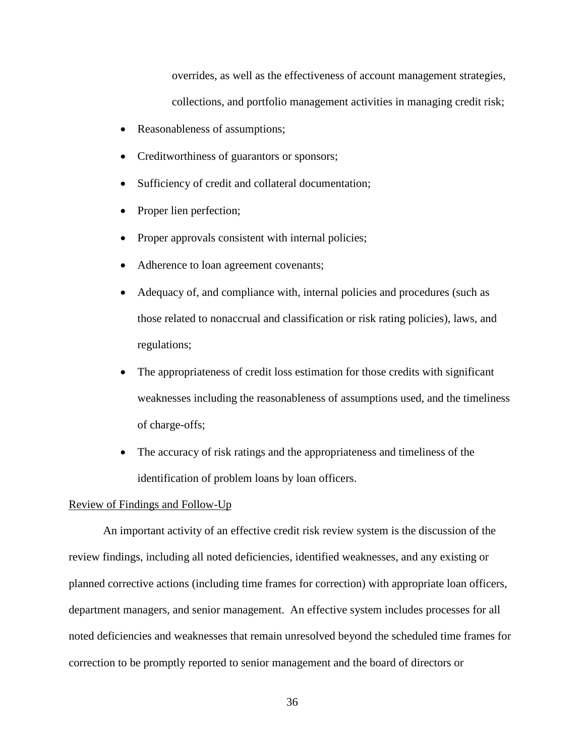overrides, as well as the effectiveness of account management strategies, collections, and portfolio management activities in managing credit risk;

- Reasonableness of assumptions;
- Creditworthiness of guarantors or sponsors;
- Sufficiency of credit and collateral documentation;
- Proper lien perfection;
- Proper approvals consistent with internal policies;
- Adherence to loan agreement covenants;
- Adequacy of, and compliance with, internal policies and procedures (such as those related to nonaccrual and classification or risk rating policies), laws, and regulations;
- The appropriateness of credit loss estimation for those credits with significant weaknesses including the reasonableness of assumptions used, and the timeliness of charge-offs;
- The accuracy of risk ratings and the appropriateness and timeliness of the identification of problem loans by loan officers.

#### Review of Findings and Follow-Up

An important activity of an effective credit risk review system is the discussion of the review findings, including all noted deficiencies, identified weaknesses, and any existing or planned corrective actions (including time frames for correction) with appropriate loan officers, department managers, and senior management. An effective system includes processes for all noted deficiencies and weaknesses that remain unresolved beyond the scheduled time frames for correction to be promptly reported to senior management and the board of directors or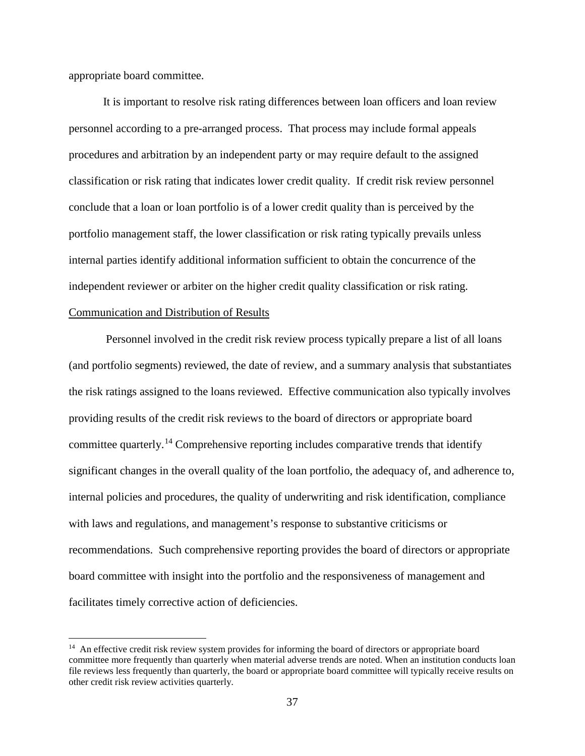appropriate board committee.

It is important to resolve risk rating differences between loan officers and loan review personnel according to a pre-arranged process. That process may include formal appeals procedures and arbitration by an independent party or may require default to the assigned classification or risk rating that indicates lower credit quality. If credit risk review personnel conclude that a loan or loan portfolio is of a lower credit quality than is perceived by the portfolio management staff, the lower classification or risk rating typically prevails unless internal parties identify additional information sufficient to obtain the concurrence of the independent reviewer or arbiter on the higher credit quality classification or risk rating. Communication and Distribution of Results

Personnel involved in the credit risk review process typically prepare a list of all loans (and portfolio segments) reviewed, the date of review, and a summary analysis that substantiates the risk ratings assigned to the loans reviewed. Effective communication also typically involves providing results of the credit risk reviews to the board of directors or appropriate board committee quarterly.[14](#page-36-0) Comprehensive reporting includes comparative trends that identify significant changes in the overall quality of the loan portfolio, the adequacy of, and adherence to, internal policies and procedures, the quality of underwriting and risk identification, compliance with laws and regulations, and management's response to substantive criticisms or recommendations. Such comprehensive reporting provides the board of directors or appropriate board committee with insight into the portfolio and the responsiveness of management and facilitates timely corrective action of deficiencies.

<span id="page-36-0"></span><sup>&</sup>lt;sup>14</sup> An effective credit risk review system provides for informing the board of directors or appropriate board committee more frequently than quarterly when material adverse trends are noted. When an institution conducts loan file reviews less frequently than quarterly, the board or appropriate board committee will typically receive results on other credit risk review activities quarterly.